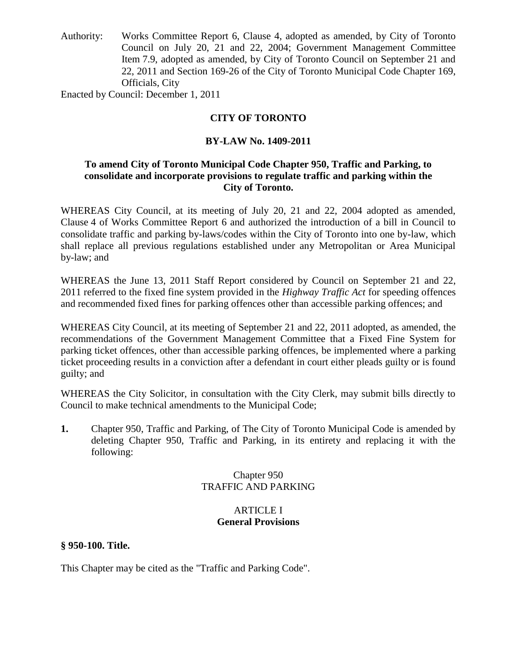Authority: Works Committee Report 6, Clause 4, adopted as amended, by City of Toronto Council on July 20, 21 and 22, 2004; Government Management Committee Item 7.9, adopted as amended, by City of Toronto Council on September 21 and 22, 2011 and Section 169-26 of the City of Toronto Municipal Code Chapter 169, Officials, City

Enacted by Council: December 1, 2011

# **CITY OF TORONTO**

# **BY-LAW No. 1409-2011**

# **To amend City of Toronto Municipal Code Chapter 950, Traffic and Parking, to consolidate and incorporate provisions to regulate traffic and parking within the City of Toronto.**

WHEREAS City Council, at its meeting of July 20, 21 and 22, 2004 adopted as amended, Clause 4 of Works Committee Report 6 and authorized the introduction of a bill in Council to consolidate traffic and parking by-laws/codes within the City of Toronto into one by-law, which shall replace all previous regulations established under any Metropolitan or Area Municipal by-law; and

WHEREAS the June 13, 2011 Staff Report considered by Council on September 21 and 22, 2011 referred to the fixed fine system provided in the *Highway Traffic Act* for speeding offences and recommended fixed fines for parking offences other than accessible parking offences; and

WHEREAS City Council, at its meeting of September 21 and 22, 2011 adopted, as amended, the recommendations of the Government Management Committee that a Fixed Fine System for parking ticket offences, other than accessible parking offences, be implemented where a parking ticket proceeding results in a conviction after a defendant in court either pleads guilty or is found guilty; and

WHEREAS the City Solicitor, in consultation with the City Clerk, may submit bills directly to Council to make technical amendments to the Municipal Code;

**1.** Chapter 950, Traffic and Parking, of The City of Toronto Municipal Code is amended by deleting Chapter 950, Traffic and Parking, in its entirety and replacing it with the following:

# Chapter 950 TRAFFIC AND PARKING

# ARTICLE I **General Provisions**

# **§ 950-100. Title.**

This Chapter may be cited as the "Traffic and Parking Code".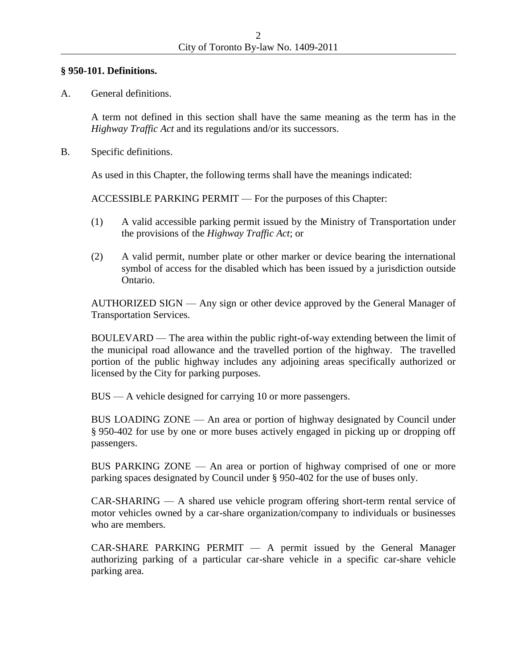### **§ 950-101. Definitions.**

A. General definitions.

A term not defined in this section shall have the same meaning as the term has in the *Highway Traffic Act* and its regulations and/or its successors.

B. Specific definitions.

As used in this Chapter, the following terms shall have the meanings indicated:

ACCESSIBLE PARKING PERMIT — For the purposes of this Chapter:

- (1) A valid accessible parking permit issued by the Ministry of Transportation under the provisions of the *Highway Traffic Act*; or
- (2) A valid permit, number plate or other marker or device bearing the international symbol of access for the disabled which has been issued by a jurisdiction outside Ontario.

AUTHORIZED SIGN — Any sign or other device approved by the General Manager of Transportation Services.

BOULEVARD — The area within the public right-of-way extending between the limit of the municipal road allowance and the travelled portion of the highway. The travelled portion of the public highway includes any adjoining areas specifically authorized or licensed by the City for parking purposes.

BUS — A vehicle designed for carrying 10 or more passengers.

BUS LOADING ZONE — An area or portion of highway designated by Council under § 950-402 for use by one or more buses actively engaged in picking up or dropping off passengers.

BUS PARKING ZONE — An area or portion of highway comprised of one or more parking spaces designated by Council under § 950-402 for the use of buses only.

CAR-SHARING — A shared use vehicle program offering short-term rental service of motor vehicles owned by a car-share organization/company to individuals or businesses who are members.

 $CAR-SHARE$  PARKING PERMIT  $-$  A permit issued by the General Manager authorizing parking of a particular car-share vehicle in a specific car-share vehicle parking area.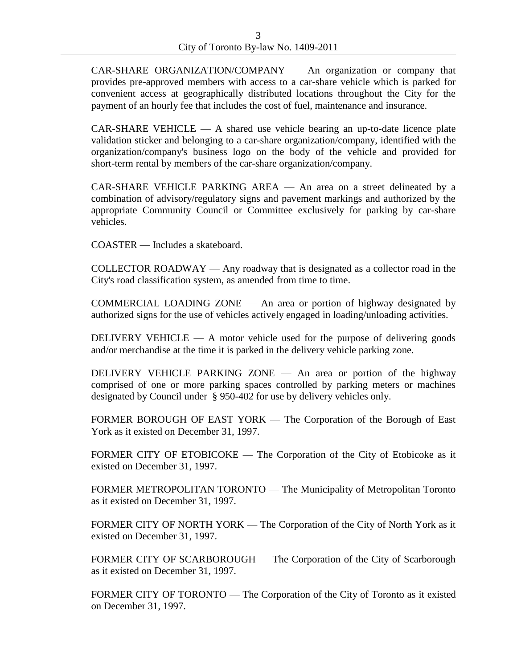CAR-SHARE ORGANIZATION/COMPANY — An organization or company that provides pre-approved members with access to a car-share vehicle which is parked for convenient access at geographically distributed locations throughout the City for the payment of an hourly fee that includes the cost of fuel, maintenance and insurance.

CAR-SHARE VEHICLE — A shared use vehicle bearing an up-to-date licence plate validation sticker and belonging to a car-share organization/company, identified with the organization/company's business logo on the body of the vehicle and provided for short-term rental by members of the car-share organization/company.

CAR-SHARE VEHICLE PARKING AREA — An area on a street delineated by a combination of advisory/regulatory signs and pavement markings and authorized by the appropriate Community Council or Committee exclusively for parking by car-share vehicles.

COASTER — Includes a skateboard.

COLLECTOR ROADWAY — Any roadway that is designated as a collector road in the City's road classification system, as amended from time to time.

COMMERCIAL LOADING ZONE — An area or portion of highway designated by authorized signs for the use of vehicles actively engaged in loading/unloading activities.

DELIVERY VEHICLE  $-$  A motor vehicle used for the purpose of delivering goods and/or merchandise at the time it is parked in the delivery vehicle parking zone.

DELIVERY VEHICLE PARKING ZONE — An area or portion of the highway comprised of one or more parking spaces controlled by parking meters or machines designated by Council under § 950-402 for use by delivery vehicles only.

FORMER BOROUGH OF EAST YORK — The Corporation of the Borough of East York as it existed on December 31, 1997.

FORMER CITY OF ETOBICOKE — The Corporation of the City of Etobicoke as it existed on December 31, 1997.

FORMER METROPOLITAN TORONTO — The Municipality of Metropolitan Toronto as it existed on December 31, 1997.

FORMER CITY OF NORTH YORK — The Corporation of the City of North York as it existed on December 31, 1997.

FORMER CITY OF SCARBOROUGH — The Corporation of the City of Scarborough as it existed on December 31, 1997.

FORMER CITY OF TORONTO — The Corporation of the City of Toronto as it existed on December 31, 1997.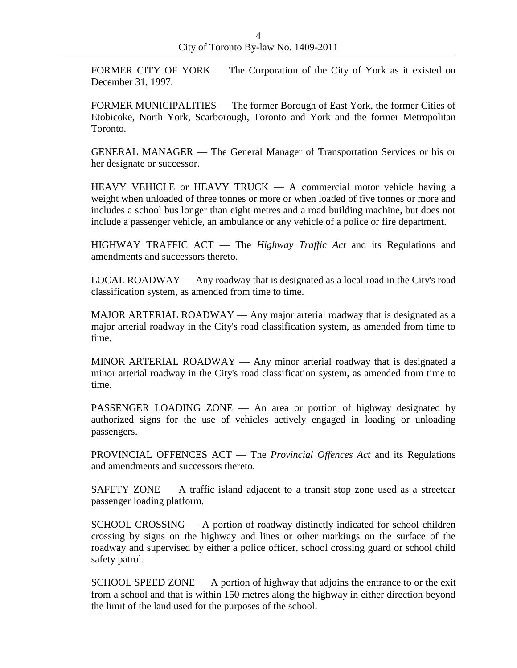FORMER CITY OF YORK — The Corporation of the City of York as it existed on December 31, 1997.

FORMER MUNICIPALITIES — The former Borough of East York, the former Cities of Etobicoke, North York, Scarborough, Toronto and York and the former Metropolitan Toronto.

GENERAL MANAGER — The General Manager of Transportation Services or his or her designate or successor.

HEAVY VEHICLE or HEAVY TRUCK — A commercial motor vehicle having a weight when unloaded of three tonnes or more or when loaded of five tonnes or more and includes a school bus longer than eight metres and a road building machine, but does not include a passenger vehicle, an ambulance or any vehicle of a police or fire department.

HIGHWAY TRAFFIC ACT — The *Highway Traffic Act* and its Regulations and amendments and successors thereto.

LOCAL ROADWAY — Any roadway that is designated as a local road in the City's road classification system, as amended from time to time.

MAJOR ARTERIAL ROADWAY — Any major arterial roadway that is designated as a major arterial roadway in the City's road classification system, as amended from time to time.

MINOR ARTERIAL ROADWAY — Any minor arterial roadway that is designated a minor arterial roadway in the City's road classification system, as amended from time to time.

PASSENGER LOADING ZONE — An area or portion of highway designated by authorized signs for the use of vehicles actively engaged in loading or unloading passengers.

PROVINCIAL OFFENCES ACT — The *Provincial Offences Act* and its Regulations and amendments and successors thereto.

SAFETY ZONE  $-$  A traffic island adjacent to a transit stop zone used as a streetcar passenger loading platform.

SCHOOL CROSSING — A portion of roadway distinctly indicated for school children crossing by signs on the highway and lines or other markings on the surface of the roadway and supervised by either a police officer, school crossing guard or school child safety patrol.

SCHOOL SPEED ZONE  $- A$  portion of highway that adjoins the entrance to or the exit from a school and that is within 150 metres along the highway in either direction beyond the limit of the land used for the purposes of the school.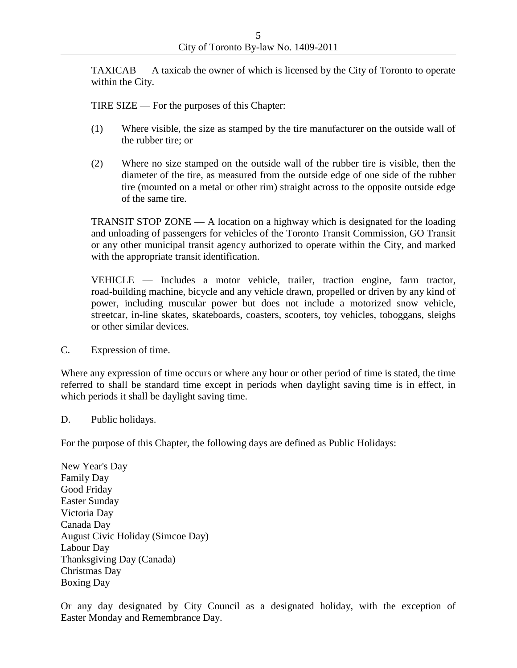TAXICAB — A taxicab the owner of which is licensed by the City of Toronto to operate within the City.

TIRE SIZE — For the purposes of this Chapter:

- (1) Where visible, the size as stamped by the tire manufacturer on the outside wall of the rubber tire; or
- (2) Where no size stamped on the outside wall of the rubber tire is visible, then the diameter of the tire, as measured from the outside edge of one side of the rubber tire (mounted on a metal or other rim) straight across to the opposite outside edge of the same tire.

TRANSIT STOP ZONE — A location on a highway which is designated for the loading and unloading of passengers for vehicles of the Toronto Transit Commission, GO Transit or any other municipal transit agency authorized to operate within the City, and marked with the appropriate transit identification.

VEHICLE — Includes a motor vehicle, trailer, traction engine, farm tractor, road-building machine, bicycle and any vehicle drawn, propelled or driven by any kind of power, including muscular power but does not include a motorized snow vehicle, streetcar, in-line skates, skateboards, coasters, scooters, toy vehicles, toboggans, sleighs or other similar devices.

C. Expression of time.

Where any expression of time occurs or where any hour or other period of time is stated, the time referred to shall be standard time except in periods when daylight saving time is in effect, in which periods it shall be daylight saving time.

D. Public holidays.

For the purpose of this Chapter, the following days are defined as Public Holidays:

New Year's Day Family Day Good Friday Easter Sunday Victoria Day Canada Day August Civic Holiday (Simcoe Day) Labour Day Thanksgiving Day (Canada) Christmas Day Boxing Day

Or any day designated by City Council as a designated holiday, with the exception of Easter Monday and Remembrance Day.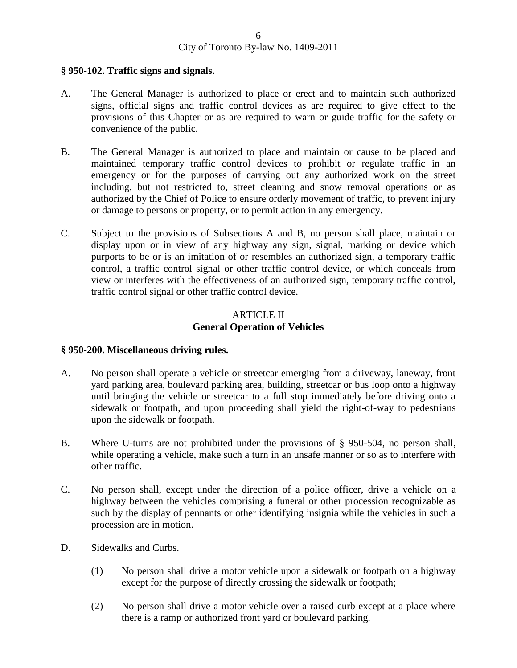### **§ 950-102. Traffic signs and signals.**

- A. The General Manager is authorized to place or erect and to maintain such authorized signs, official signs and traffic control devices as are required to give effect to the provisions of this Chapter or as are required to warn or guide traffic for the safety or convenience of the public.
- B. The General Manager is authorized to place and maintain or cause to be placed and maintained temporary traffic control devices to prohibit or regulate traffic in an emergency or for the purposes of carrying out any authorized work on the street including, but not restricted to, street cleaning and snow removal operations or as authorized by the Chief of Police to ensure orderly movement of traffic, to prevent injury or damage to persons or property, or to permit action in any emergency.
- C. Subject to the provisions of Subsections A and B, no person shall place, maintain or display upon or in view of any highway any sign, signal, marking or device which purports to be or is an imitation of or resembles an authorized sign, a temporary traffic control, a traffic control signal or other traffic control device, or which conceals from view or interferes with the effectiveness of an authorized sign, temporary traffic control, traffic control signal or other traffic control device.

# ARTICLE II **General Operation of Vehicles**

## **§ 950-200. Miscellaneous driving rules.**

- A. No person shall operate a vehicle or streetcar emerging from a driveway, laneway, front yard parking area, boulevard parking area, building, streetcar or bus loop onto a highway until bringing the vehicle or streetcar to a full stop immediately before driving onto a sidewalk or footpath, and upon proceeding shall yield the right-of-way to pedestrians upon the sidewalk or footpath.
- B. Where U-turns are not prohibited under the provisions of § 950-504, no person shall, while operating a vehicle, make such a turn in an unsafe manner or so as to interfere with other traffic.
- C. No person shall, except under the direction of a police officer, drive a vehicle on a highway between the vehicles comprising a funeral or other procession recognizable as such by the display of pennants or other identifying insignia while the vehicles in such a procession are in motion.
- D. Sidewalks and Curbs.
	- (1) No person shall drive a motor vehicle upon a sidewalk or footpath on a highway except for the purpose of directly crossing the sidewalk or footpath;
	- (2) No person shall drive a motor vehicle over a raised curb except at a place where there is a ramp or authorized front yard or boulevard parking.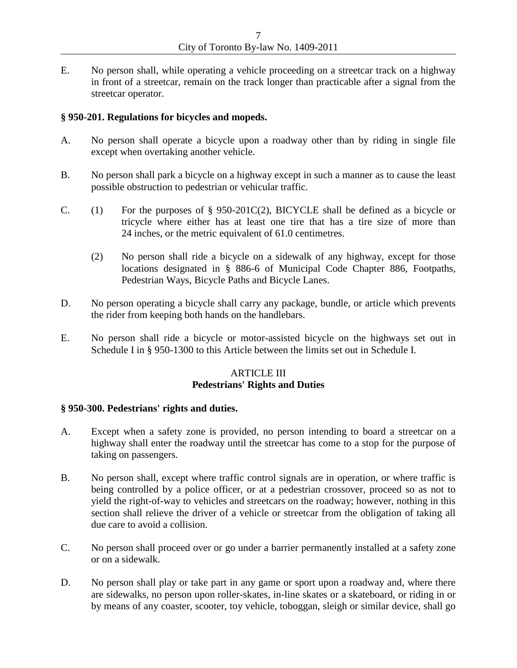E. No person shall, while operating a vehicle proceeding on a streetcar track on a highway in front of a streetcar, remain on the track longer than practicable after a signal from the streetcar operator.

### **§ 950-201. Regulations for bicycles and mopeds.**

- A. No person shall operate a bicycle upon a roadway other than by riding in single file except when overtaking another vehicle.
- B. No person shall park a bicycle on a highway except in such a manner as to cause the least possible obstruction to pedestrian or vehicular traffic.
- C. (1) For the purposes of  $\S$  950-201C(2), BICYCLE shall be defined as a bicycle or tricycle where either has at least one tire that has a tire size of more than 24 inches, or the metric equivalent of 61.0 centimetres.
	- (2) No person shall ride a bicycle on a sidewalk of any highway, except for those locations designated in § 886-6 of Municipal Code Chapter 886, Footpaths, Pedestrian Ways, Bicycle Paths and Bicycle Lanes.
- D. No person operating a bicycle shall carry any package, bundle, or article which prevents the rider from keeping both hands on the handlebars.
- E. No person shall ride a bicycle or motor-assisted bicycle on the highways set out in Schedule I in § 950-1300 to this Article between the limits set out in Schedule I.

# ARTICLE III **Pedestrians' Rights and Duties**

### **§ 950-300. Pedestrians' rights and duties.**

- A. Except when a safety zone is provided, no person intending to board a streetcar on a highway shall enter the roadway until the streetcar has come to a stop for the purpose of taking on passengers.
- B. No person shall, except where traffic control signals are in operation, or where traffic is being controlled by a police officer, or at a pedestrian crossover, proceed so as not to yield the right-of-way to vehicles and streetcars on the roadway; however, nothing in this section shall relieve the driver of a vehicle or streetcar from the obligation of taking all due care to avoid a collision.
- C. No person shall proceed over or go under a barrier permanently installed at a safety zone or on a sidewalk.
- D. No person shall play or take part in any game or sport upon a roadway and, where there are sidewalks, no person upon roller-skates, in-line skates or a skateboard, or riding in or by means of any coaster, scooter, toy vehicle, toboggan, sleigh or similar device, shall go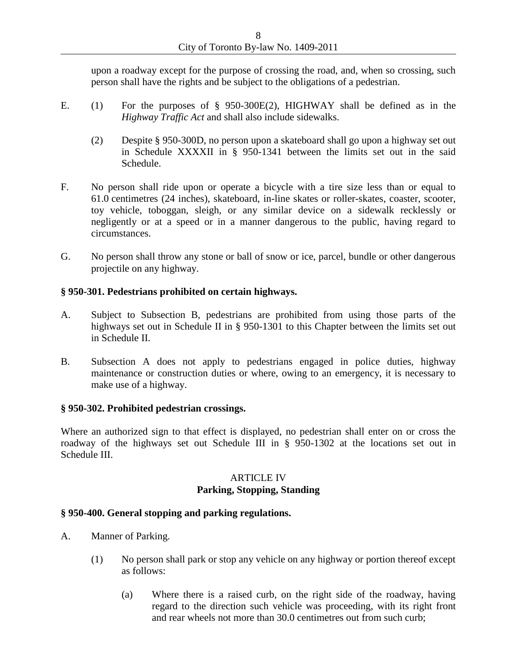upon a roadway except for the purpose of crossing the road, and, when so crossing, such person shall have the rights and be subject to the obligations of a pedestrian.

- E. (1) For the purposes of § 950-300E(2), HIGHWAY shall be defined as in the *Highway Traffic Act* and shall also include sidewalks.
	- (2) Despite § 950-300D, no person upon a skateboard shall go upon a highway set out in Schedule XXXXII in § 950-1341 between the limits set out in the said Schedule.
- F. No person shall ride upon or operate a bicycle with a tire size less than or equal to 61.0 centimetres (24 inches), skateboard, in-line skates or roller-skates, coaster, scooter, toy vehicle, toboggan, sleigh, or any similar device on a sidewalk recklessly or negligently or at a speed or in a manner dangerous to the public, having regard to circumstances.
- G. No person shall throw any stone or ball of snow or ice, parcel, bundle or other dangerous projectile on any highway.

# **§ 950-301. Pedestrians prohibited on certain highways.**

- A. Subject to Subsection B, pedestrians are prohibited from using those parts of the highways set out in Schedule II in § 950-1301 to this Chapter between the limits set out in Schedule II.
- B. Subsection A does not apply to pedestrians engaged in police duties, highway maintenance or construction duties or where, owing to an emergency, it is necessary to make use of a highway.

# **§ 950-302. Prohibited pedestrian crossings.**

Where an authorized sign to that effect is displayed, no pedestrian shall enter on or cross the roadway of the highways set out Schedule III in § 950-1302 at the locations set out in Schedule III.

## ARTICLE IV **Parking, Stopping, Standing**

## **§ 950-400. General stopping and parking regulations.**

- A. Manner of Parking.
	- (1) No person shall park or stop any vehicle on any highway or portion thereof except as follows:
		- (a) Where there is a raised curb, on the right side of the roadway, having regard to the direction such vehicle was proceeding, with its right front and rear wheels not more than 30.0 centimetres out from such curb;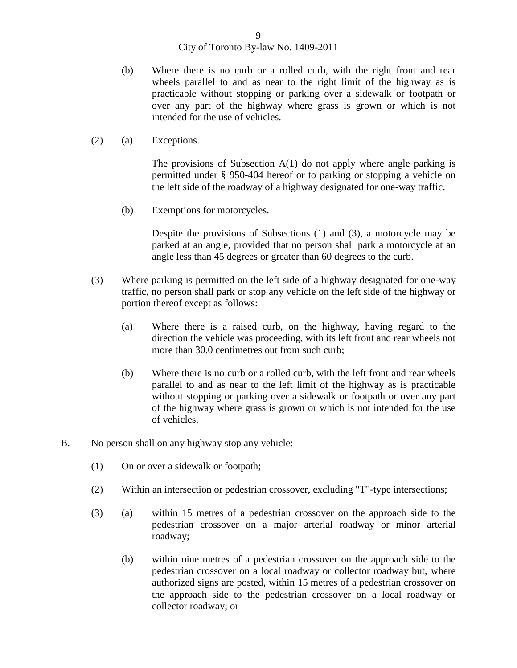- (b) Where there is no curb or a rolled curb, with the right front and rear wheels parallel to and as near to the right limit of the highway as is practicable without stopping or parking over a sidewalk or footpath or over any part of the highway where grass is grown or which is not intended for the use of vehicles.
- (2) (a) Exceptions.

The provisions of Subsection  $A(1)$  do not apply where angle parking is permitted under § 950-404 hereof or to parking or stopping a vehicle on the left side of the roadway of a highway designated for one-way traffic.

(b) Exemptions for motorcycles.

Despite the provisions of Subsections (1) and (3), a motorcycle may be parked at an angle, provided that no person shall park a motorcycle at an angle less than 45 degrees or greater than 60 degrees to the curb.

- (3) Where parking is permitted on the left side of a highway designated for one-way traffic, no person shall park or stop any vehicle on the left side of the highway or portion thereof except as follows:
	- (a) Where there is a raised curb, on the highway, having regard to the direction the vehicle was proceeding, with its left front and rear wheels not more than 30.0 centimetres out from such curb;
	- (b) Where there is no curb or a rolled curb, with the left front and rear wheels parallel to and as near to the left limit of the highway as is practicable without stopping or parking over a sidewalk or footpath or over any part of the highway where grass is grown or which is not intended for the use of vehicles.
- B. No person shall on any highway stop any vehicle:
	- (1) On or over a sidewalk or footpath;
	- (2) Within an intersection or pedestrian crossover, excluding "T"-type intersections;
	- (3) (a) within 15 metres of a pedestrian crossover on the approach side to the pedestrian crossover on a major arterial roadway or minor arterial roadway;
		- (b) within nine metres of a pedestrian crossover on the approach side to the pedestrian crossover on a local roadway or collector roadway but, where authorized signs are posted, within 15 metres of a pedestrian crossover on the approach side to the pedestrian crossover on a local roadway or collector roadway; or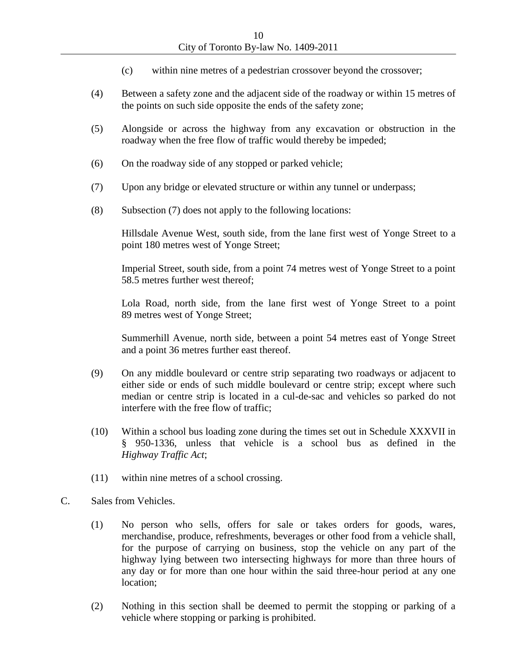- (c) within nine metres of a pedestrian crossover beyond the crossover;
- (4) Between a safety zone and the adjacent side of the roadway or within 15 metres of the points on such side opposite the ends of the safety zone;
- (5) Alongside or across the highway from any excavation or obstruction in the roadway when the free flow of traffic would thereby be impeded;
- (6) On the roadway side of any stopped or parked vehicle;
- (7) Upon any bridge or elevated structure or within any tunnel or underpass;
- (8) Subsection (7) does not apply to the following locations:

Hillsdale Avenue West, south side, from the lane first west of Yonge Street to a point 180 metres west of Yonge Street;

Imperial Street, south side, from a point 74 metres west of Yonge Street to a point 58.5 metres further west thereof;

Lola Road, north side, from the lane first west of Yonge Street to a point 89 metres west of Yonge Street;

Summerhill Avenue, north side, between a point 54 metres east of Yonge Street and a point 36 metres further east thereof.

- (9) On any middle boulevard or centre strip separating two roadways or adjacent to either side or ends of such middle boulevard or centre strip; except where such median or centre strip is located in a cul-de-sac and vehicles so parked do not interfere with the free flow of traffic;
- (10) Within a school bus loading zone during the times set out in Schedule XXXVII in § 950-1336, unless that vehicle is a school bus as defined in the *Highway Traffic Act*;
- (11) within nine metres of a school crossing.
- C. Sales from Vehicles.
	- (1) No person who sells, offers for sale or takes orders for goods, wares, merchandise, produce, refreshments, beverages or other food from a vehicle shall, for the purpose of carrying on business, stop the vehicle on any part of the highway lying between two intersecting highways for more than three hours of any day or for more than one hour within the said three-hour period at any one location;
	- (2) Nothing in this section shall be deemed to permit the stopping or parking of a vehicle where stopping or parking is prohibited.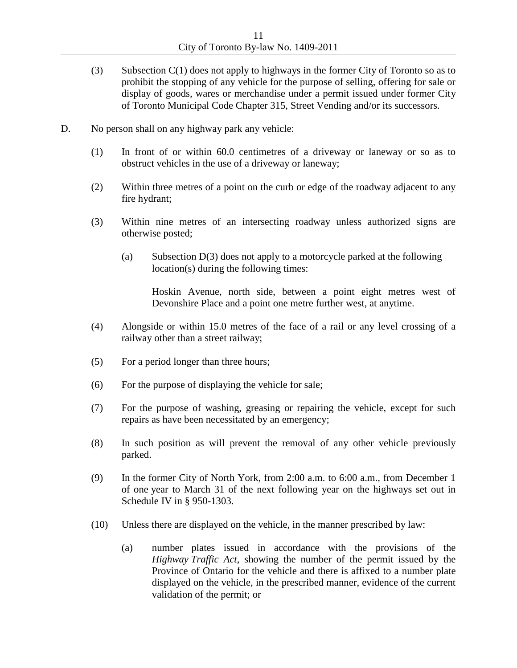- (3) Subsection C(1) does not apply to highways in the former City of Toronto so as to prohibit the stopping of any vehicle for the purpose of selling, offering for sale or display of goods, wares or merchandise under a permit issued under former City of Toronto Municipal Code Chapter 315, Street Vending and/or its successors.
- D. No person shall on any highway park any vehicle:
	- (1) In front of or within 60.0 centimetres of a driveway or laneway or so as to obstruct vehicles in the use of a driveway or laneway;
	- (2) Within three metres of a point on the curb or edge of the roadway adjacent to any fire hydrant;
	- (3) Within nine metres of an intersecting roadway unless authorized signs are otherwise posted;
		- (a) Subsection D(3) does not apply to a motorcycle parked at the following location(s) during the following times:

Hoskin Avenue, north side, between a point eight metres west of Devonshire Place and a point one metre further west, at anytime.

- (4) Alongside or within 15.0 metres of the face of a rail or any level crossing of a railway other than a street railway;
- (5) For a period longer than three hours;
- (6) For the purpose of displaying the vehicle for sale;
- (7) For the purpose of washing, greasing or repairing the vehicle, except for such repairs as have been necessitated by an emergency;
- (8) In such position as will prevent the removal of any other vehicle previously parked.
- (9) In the former City of North York, from 2:00 a.m. to 6:00 a.m., from December 1 of one year to March 31 of the next following year on the highways set out in Schedule IV in § 950-1303.
- (10) Unless there are displayed on the vehicle, in the manner prescribed by law:
	- (a) number plates issued in accordance with the provisions of the *Highway Traffic Act*, showing the number of the permit issued by the Province of Ontario for the vehicle and there is affixed to a number plate displayed on the vehicle, in the prescribed manner, evidence of the current validation of the permit; or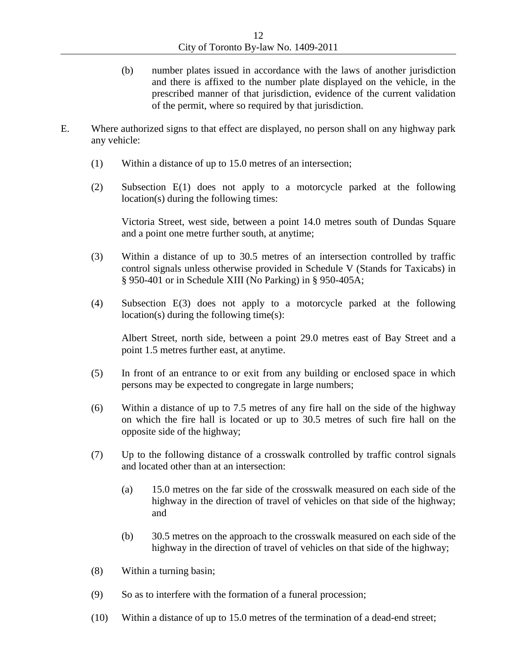- (b) number plates issued in accordance with the laws of another jurisdiction and there is affixed to the number plate displayed on the vehicle, in the prescribed manner of that jurisdiction, evidence of the current validation of the permit, where so required by that jurisdiction.
- E. Where authorized signs to that effect are displayed, no person shall on any highway park any vehicle:
	- (1) Within a distance of up to 15.0 metres of an intersection;
	- (2) Subsection E(1) does not apply to a motorcycle parked at the following location(s) during the following times:

Victoria Street, west side, between a point 14.0 metres south of Dundas Square and a point one metre further south, at anytime;

- (3) Within a distance of up to 30.5 metres of an intersection controlled by traffic control signals unless otherwise provided in Schedule V (Stands for Taxicabs) in § 950-401 or in Schedule XIII (No Parking) in § 950-405A;
- (4) Subsection E(3) does not apply to a motorcycle parked at the following location(s) during the following time(s):

Albert Street, north side, between a point 29.0 metres east of Bay Street and a point 1.5 metres further east, at anytime.

- (5) In front of an entrance to or exit from any building or enclosed space in which persons may be expected to congregate in large numbers;
- (6) Within a distance of up to 7.5 metres of any fire hall on the side of the highway on which the fire hall is located or up to 30.5 metres of such fire hall on the opposite side of the highway;
- (7) Up to the following distance of a crosswalk controlled by traffic control signals and located other than at an intersection:
	- (a) 15.0 metres on the far side of the crosswalk measured on each side of the highway in the direction of travel of vehicles on that side of the highway; and
	- (b) 30.5 metres on the approach to the crosswalk measured on each side of the highway in the direction of travel of vehicles on that side of the highway;
- (8) Within a turning basin;
- (9) So as to interfere with the formation of a funeral procession;
- (10) Within a distance of up to 15.0 metres of the termination of a dead-end street;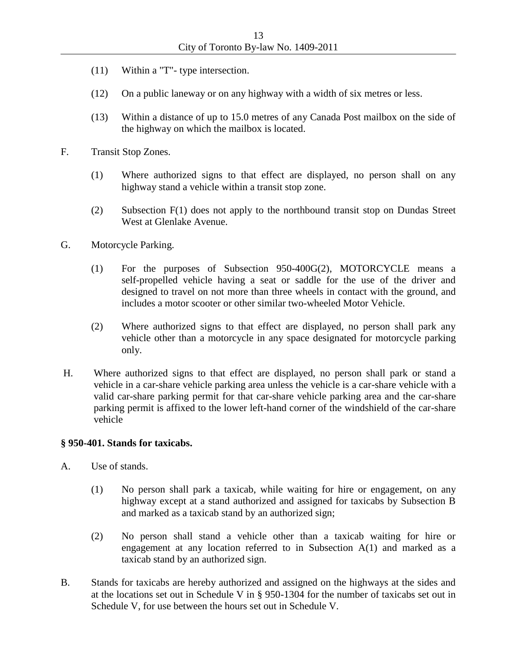- (11) Within a "T"- type intersection.
- (12) On a public laneway or on any highway with a width of six metres or less.
- (13) Within a distance of up to 15.0 metres of any Canada Post mailbox on the side of the highway on which the mailbox is located.
- F. Transit Stop Zones.
	- (1) Where authorized signs to that effect are displayed, no person shall on any highway stand a vehicle within a transit stop zone.
	- (2) Subsection F(1) does not apply to the northbound transit stop on Dundas Street West at Glenlake Avenue.
- G. Motorcycle Parking.
	- (1) For the purposes of Subsection 950-400G(2), MOTORCYCLE means a self-propelled vehicle having a seat or saddle for the use of the driver and designed to travel on not more than three wheels in contact with the ground, and includes a motor scooter or other similar two-wheeled Motor Vehicle.
	- (2) Where authorized signs to that effect are displayed, no person shall park any vehicle other than a motorcycle in any space designated for motorcycle parking only.
- H. Where authorized signs to that effect are displayed, no person shall park or stand a vehicle in a car-share vehicle parking area unless the vehicle is a car-share vehicle with a valid car-share parking permit for that car-share vehicle parking area and the car-share parking permit is affixed to the lower left-hand corner of the windshield of the car-share vehicle

#### **§ 950-401. Stands for taxicabs.**

- A. Use of stands.
	- (1) No person shall park a taxicab, while waiting for hire or engagement, on any highway except at a stand authorized and assigned for taxicabs by Subsection B and marked as a taxicab stand by an authorized sign;
	- (2) No person shall stand a vehicle other than a taxicab waiting for hire or engagement at any location referred to in Subsection A(1) and marked as a taxicab stand by an authorized sign.
- B. Stands for taxicabs are hereby authorized and assigned on the highways at the sides and at the locations set out in Schedule V in § 950-1304 for the number of taxicabs set out in Schedule V, for use between the hours set out in Schedule V.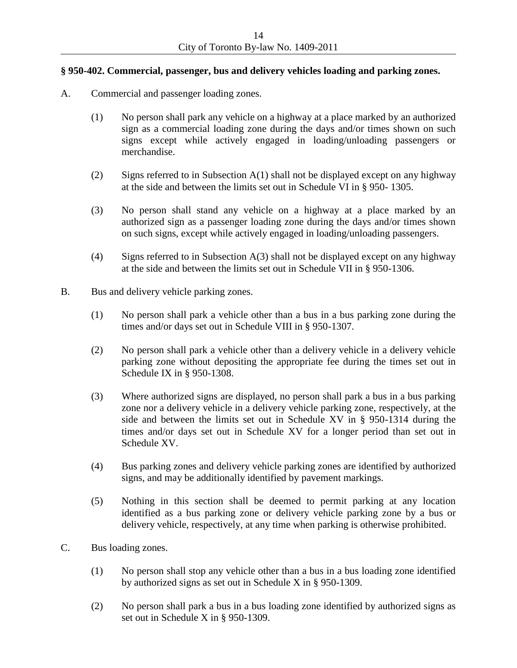# **§ 950-402. Commercial, passenger, bus and delivery vehicles loading and parking zones.**

- A. Commercial and passenger loading zones.
	- (1) No person shall park any vehicle on a highway at a place marked by an authorized sign as a commercial loading zone during the days and/or times shown on such signs except while actively engaged in loading/unloading passengers or merchandise.
	- (2) Signs referred to in Subsection A(1) shall not be displayed except on any highway at the side and between the limits set out in Schedule VI in § 950- 1305.
	- (3) No person shall stand any vehicle on a highway at a place marked by an authorized sign as a passenger loading zone during the days and/or times shown on such signs, except while actively engaged in loading/unloading passengers.
	- (4) Signs referred to in Subsection A(3) shall not be displayed except on any highway at the side and between the limits set out in Schedule VII in § 950-1306.
- B. Bus and delivery vehicle parking zones.
	- (1) No person shall park a vehicle other than a bus in a bus parking zone during the times and/or days set out in Schedule VIII in § 950-1307.
	- (2) No person shall park a vehicle other than a delivery vehicle in a delivery vehicle parking zone without depositing the appropriate fee during the times set out in Schedule IX in § 950-1308.
	- (3) Where authorized signs are displayed, no person shall park a bus in a bus parking zone nor a delivery vehicle in a delivery vehicle parking zone, respectively, at the side and between the limits set out in Schedule XV in § 950-1314 during the times and/or days set out in Schedule XV for a longer period than set out in Schedule XV.
	- (4) Bus parking zones and delivery vehicle parking zones are identified by authorized signs, and may be additionally identified by pavement markings.
	- (5) Nothing in this section shall be deemed to permit parking at any location identified as a bus parking zone or delivery vehicle parking zone by a bus or delivery vehicle, respectively, at any time when parking is otherwise prohibited.
- C. Bus loading zones.
	- (1) No person shall stop any vehicle other than a bus in a bus loading zone identified by authorized signs as set out in Schedule X in § 950-1309.
	- (2) No person shall park a bus in a bus loading zone identified by authorized signs as set out in Schedule X in § 950-1309.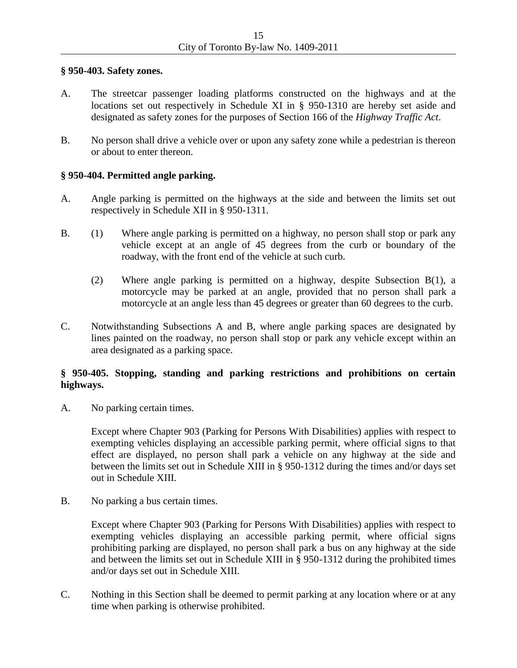### **§ 950-403. Safety zones.**

- A. The streetcar passenger loading platforms constructed on the highways and at the locations set out respectively in Schedule XI in § 950-1310 are hereby set aside and designated as safety zones for the purposes of Section 166 of the *Highway Traffic Act*.
- B. No person shall drive a vehicle over or upon any safety zone while a pedestrian is thereon or about to enter thereon.

## **§ 950-404. Permitted angle parking.**

- A. Angle parking is permitted on the highways at the side and between the limits set out respectively in Schedule XII in § 950-1311.
- B. (1) Where angle parking is permitted on a highway, no person shall stop or park any vehicle except at an angle of 45 degrees from the curb or boundary of the roadway, with the front end of the vehicle at such curb.
	- (2) Where angle parking is permitted on a highway, despite Subsection B(1), a motorcycle may be parked at an angle, provided that no person shall park a motorcycle at an angle less than 45 degrees or greater than 60 degrees to the curb.
- C. Notwithstanding Subsections A and B, where angle parking spaces are designated by lines painted on the roadway, no person shall stop or park any vehicle except within an area designated as a parking space.

# **§ 950-405. Stopping, standing and parking restrictions and prohibitions on certain highways.**

A. No parking certain times.

Except where Chapter 903 (Parking for Persons With Disabilities) applies with respect to exempting vehicles displaying an accessible parking permit, where official signs to that effect are displayed, no person shall park a vehicle on any highway at the side and between the limits set out in Schedule XIII in § 950-1312 during the times and/or days set out in Schedule XIII.

B. No parking a bus certain times.

Except where Chapter 903 (Parking for Persons With Disabilities) applies with respect to exempting vehicles displaying an accessible parking permit, where official signs prohibiting parking are displayed, no person shall park a bus on any highway at the side and between the limits set out in Schedule XIII in § 950-1312 during the prohibited times and/or days set out in Schedule XIII.

C. Nothing in this Section shall be deemed to permit parking at any location where or at any time when parking is otherwise prohibited.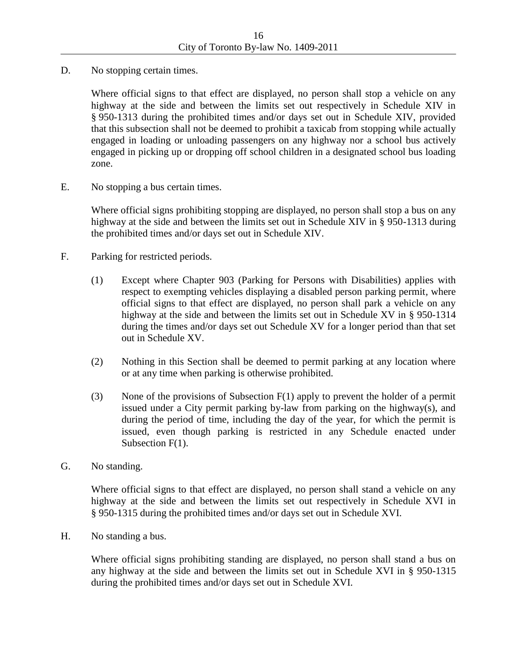D. No stopping certain times.

Where official signs to that effect are displayed, no person shall stop a vehicle on any highway at the side and between the limits set out respectively in Schedule XIV in § 950-1313 during the prohibited times and/or days set out in Schedule XIV, provided that this subsection shall not be deemed to prohibit a taxicab from stopping while actually engaged in loading or unloading passengers on any highway nor a school bus actively engaged in picking up or dropping off school children in a designated school bus loading zone.

E. No stopping a bus certain times.

Where official signs prohibiting stopping are displayed, no person shall stop a bus on any highway at the side and between the limits set out in Schedule XIV in § 950-1313 during the prohibited times and/or days set out in Schedule XIV.

- F. Parking for restricted periods.
	- (1) Except where Chapter 903 (Parking for Persons with Disabilities) applies with respect to exempting vehicles displaying a disabled person parking permit*,* where official signs to that effect are displayed, no person shall park a vehicle on any highway at the side and between the limits set out in Schedule XV in § 950-1314 during the times and/or days set out Schedule XV for a longer period than that set out in Schedule XV.
	- (2) Nothing in this Section shall be deemed to permit parking at any location where or at any time when parking is otherwise prohibited.
	- (3) None of the provisions of Subsection F(1) apply to prevent the holder of a permit issued under a City permit parking by-law from parking on the highway(s), and during the period of time, including the day of the year, for which the permit is issued, even though parking is restricted in any Schedule enacted under Subsection F(1).
- G. No standing.

Where official signs to that effect are displayed, no person shall stand a vehicle on any highway at the side and between the limits set out respectively in Schedule XVI in § 950-1315 during the prohibited times and/or days set out in Schedule XVI.

H. No standing a bus.

Where official signs prohibiting standing are displayed, no person shall stand a bus on any highway at the side and between the limits set out in Schedule XVI in § 950-1315 during the prohibited times and/or days set out in Schedule XVI.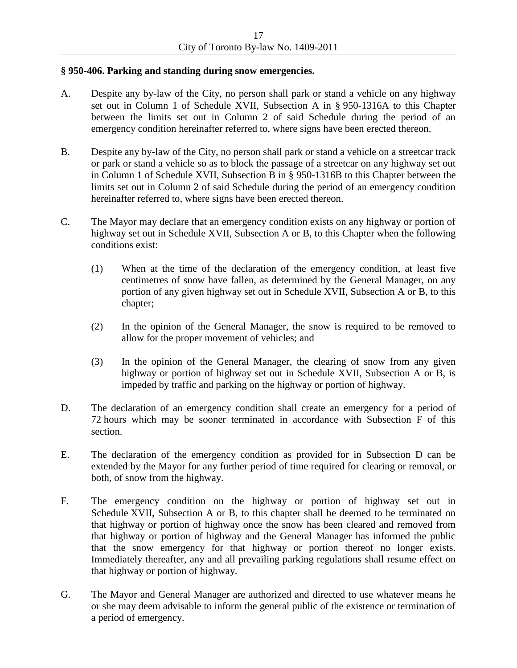### **§ 950-406. Parking and standing during snow emergencies.**

- A. Despite any by-law of the City, no person shall park or stand a vehicle on any highway set out in Column 1 of Schedule XVII, Subsection A in § 950-1316A to this Chapter between the limits set out in Column 2 of said Schedule during the period of an emergency condition hereinafter referred to, where signs have been erected thereon.
- B. Despite any by-law of the City, no person shall park or stand a vehicle on a streetcar track or park or stand a vehicle so as to block the passage of a streetcar on any highway set out in Column 1 of Schedule XVII, Subsection B in § 950-1316B to this Chapter between the limits set out in Column 2 of said Schedule during the period of an emergency condition hereinafter referred to, where signs have been erected thereon.
- C. The Mayor may declare that an emergency condition exists on any highway or portion of highway set out in Schedule XVII, Subsection A or B, to this Chapter when the following conditions exist:
	- (1) When at the time of the declaration of the emergency condition, at least five centimetres of snow have fallen, as determined by the General Manager, on any portion of any given highway set out in Schedule XVII, Subsection A or B, to this chapter;
	- (2) In the opinion of the General Manager, the snow is required to be removed to allow for the proper movement of vehicles; and
	- (3) In the opinion of the General Manager, the clearing of snow from any given highway or portion of highway set out in Schedule XVII, Subsection A or B, is impeded by traffic and parking on the highway or portion of highway.
- D. The declaration of an emergency condition shall create an emergency for a period of 72 hours which may be sooner terminated in accordance with Subsection F of this section.
- E. The declaration of the emergency condition as provided for in Subsection D can be extended by the Mayor for any further period of time required for clearing or removal, or both, of snow from the highway.
- F. The emergency condition on the highway or portion of highway set out in Schedule XVII, Subsection A or B, to this chapter shall be deemed to be terminated on that highway or portion of highway once the snow has been cleared and removed from that highway or portion of highway and the General Manager has informed the public that the snow emergency for that highway or portion thereof no longer exists. Immediately thereafter, any and all prevailing parking regulations shall resume effect on that highway or portion of highway.
- G. The Mayor and General Manager are authorized and directed to use whatever means he or she may deem advisable to inform the general public of the existence or termination of a period of emergency.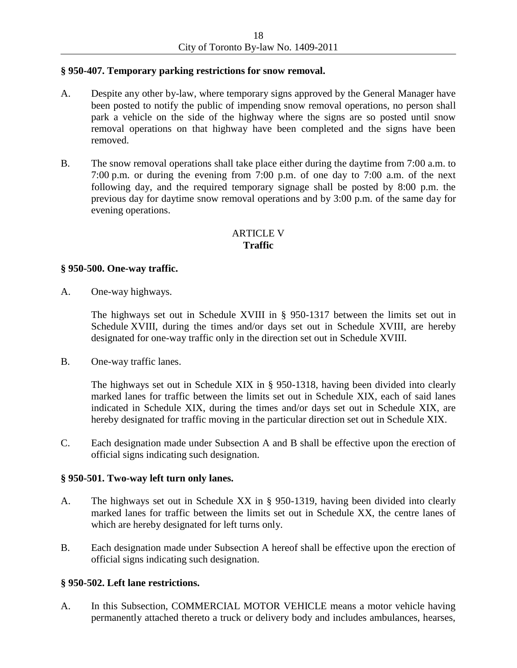### **§ 950-407. Temporary parking restrictions for snow removal.**

- A. Despite any other by-law, where temporary signs approved by the General Manager have been posted to notify the public of impending snow removal operations, no person shall park a vehicle on the side of the highway where the signs are so posted until snow removal operations on that highway have been completed and the signs have been removed.
- B. The snow removal operations shall take place either during the daytime from 7:00 a.m. to 7:00 p.m. or during the evening from 7:00 p.m. of one day to 7:00 a.m. of the next following day, and the required temporary signage shall be posted by 8:00 p.m. the previous day for daytime snow removal operations and by 3:00 p.m. of the same day for evening operations.

# ARTICLE V **Traffic**

### **§ 950-500. One-way traffic.**

A. One-way highways.

The highways set out in Schedule XVIII in § 950-1317 between the limits set out in Schedule XVIII, during the times and/or days set out in Schedule XVIII, are hereby designated for one-way traffic only in the direction set out in Schedule XVIII.

B. One-way traffic lanes.

The highways set out in Schedule XIX in § 950-1318, having been divided into clearly marked lanes for traffic between the limits set out in Schedule XIX, each of said lanes indicated in Schedule XIX, during the times and/or days set out in Schedule XIX, are hereby designated for traffic moving in the particular direction set out in Schedule XIX.

C. Each designation made under Subsection A and B shall be effective upon the erection of official signs indicating such designation.

### **§ 950-501. Two-way left turn only lanes.**

- A. The highways set out in Schedule XX in § 950-1319, having been divided into clearly marked lanes for traffic between the limits set out in Schedule XX, the centre lanes of which are hereby designated for left turns only.
- B. Each designation made under Subsection A hereof shall be effective upon the erection of official signs indicating such designation.

### **§ 950-502. Left lane restrictions.**

A. In this Subsection, COMMERCIAL MOTOR VEHICLE means a motor vehicle having permanently attached thereto a truck or delivery body and includes ambulances, hearses,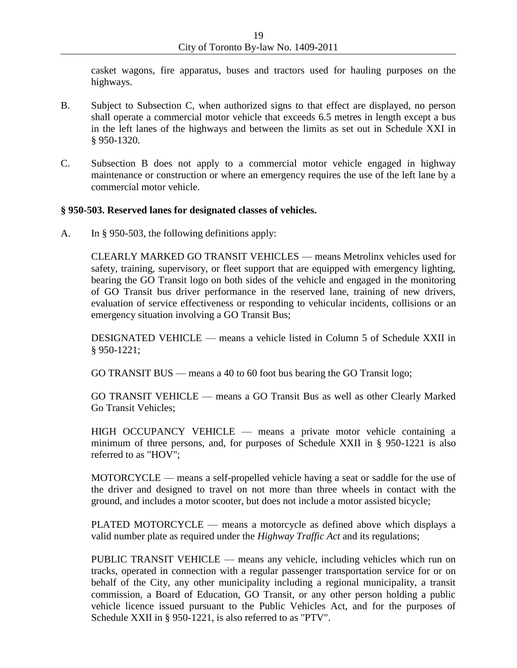casket wagons, fire apparatus, buses and tractors used for hauling purposes on the highways.

- B. Subject to Subsection C, when authorized signs to that effect are displayed, no person shall operate a commercial motor vehicle that exceeds 6.5 metres in length except a bus in the left lanes of the highways and between the limits as set out in Schedule XXI in § 950-1320.
- C. Subsection B does not apply to a commercial motor vehicle engaged in highway maintenance or construction or where an emergency requires the use of the left lane by a commercial motor vehicle.

### **§ 950-503. Reserved lanes for designated classes of vehicles.**

A. In § 950-503, the following definitions apply:

CLEARLY MARKED GO TRANSIT VEHICLES — means Metrolinx vehicles used for safety, training, supervisory, or fleet support that are equipped with emergency lighting, bearing the GO Transit logo on both sides of the vehicle and engaged in the monitoring of GO Transit bus driver performance in the reserved lane, training of new drivers, evaluation of service effectiveness or responding to vehicular incidents, collisions or an emergency situation involving a GO Transit Bus;

DESIGNATED VEHICLE — means a vehicle listed in Column 5 of Schedule XXII in § 950-1221;

GO TRANSIT BUS — means a 40 to 60 foot bus bearing the GO Transit logo;

GO TRANSIT VEHICLE — means a GO Transit Bus as well as other Clearly Marked Go Transit Vehicles;

HIGH OCCUPANCY VEHICLE — means a private motor vehicle containing a minimum of three persons, and, for purposes of Schedule XXII in § 950-1221 is also referred to as "HOV";

MOTORCYCLE — means a self-propelled vehicle having a seat or saddle for the use of the driver and designed to travel on not more than three wheels in contact with the ground, and includes a motor scooter, but does not include a motor assisted bicycle;

PLATED MOTORCYCLE — means a motorcycle as defined above which displays a valid number plate as required under the *Highway Traffic Act* and its regulations;

PUBLIC TRANSIT VEHICLE — means any vehicle, including vehicles which run on tracks, operated in connection with a regular passenger transportation service for or on behalf of the City, any other municipality including a regional municipality, a transit commission, a Board of Education, GO Transit, or any other person holding a public vehicle licence issued pursuant to the Public Vehicles Act, and for the purposes of Schedule XXII in § 950-1221, is also referred to as "PTV".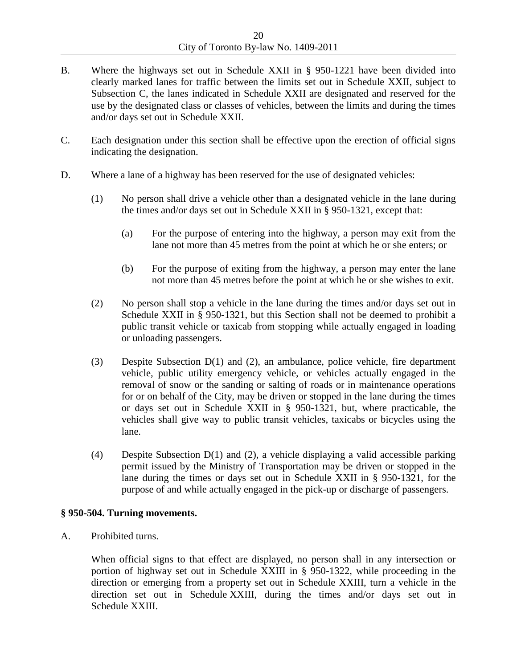- B. Where the highways set out in Schedule XXII in § 950-1221 have been divided into clearly marked lanes for traffic between the limits set out in Schedule XXII, subject to Subsection C, the lanes indicated in Schedule XXII are designated and reserved for the use by the designated class or classes of vehicles, between the limits and during the times and/or days set out in Schedule XXII.
- C. Each designation under this section shall be effective upon the erection of official signs indicating the designation.
- D. Where a lane of a highway has been reserved for the use of designated vehicles:
	- (1) No person shall drive a vehicle other than a designated vehicle in the lane during the times and/or days set out in Schedule XXII in § 950-1321, except that:
		- (a) For the purpose of entering into the highway, a person may exit from the lane not more than 45 metres from the point at which he or she enters; or
		- (b) For the purpose of exiting from the highway, a person may enter the lane not more than 45 metres before the point at which he or she wishes to exit.
	- (2) No person shall stop a vehicle in the lane during the times and/or days set out in Schedule XXII in § 950-1321, but this Section shall not be deemed to prohibit a public transit vehicle or taxicab from stopping while actually engaged in loading or unloading passengers.
	- (3) Despite Subsection D(1) and (2), an ambulance, police vehicle, fire department vehicle, public utility emergency vehicle, or vehicles actually engaged in the removal of snow or the sanding or salting of roads or in maintenance operations for or on behalf of the City, may be driven or stopped in the lane during the times or days set out in Schedule XXII in § 950-1321, but, where practicable, the vehicles shall give way to public transit vehicles, taxicabs or bicycles using the lane.
	- (4) Despite Subsection D(1) and (2), a vehicle displaying a valid accessible parking permit issued by the Ministry of Transportation may be driven or stopped in the lane during the times or days set out in Schedule XXII in § 950-1321, for the purpose of and while actually engaged in the pick-up or discharge of passengers.

#### **§ 950-504. Turning movements.**

A. Prohibited turns.

When official signs to that effect are displayed, no person shall in any intersection or portion of highway set out in Schedule XXIII in § 950-1322, while proceeding in the direction or emerging from a property set out in Schedule XXIII, turn a vehicle in the direction set out in Schedule XXIII, during the times and/or days set out in Schedule XXIII.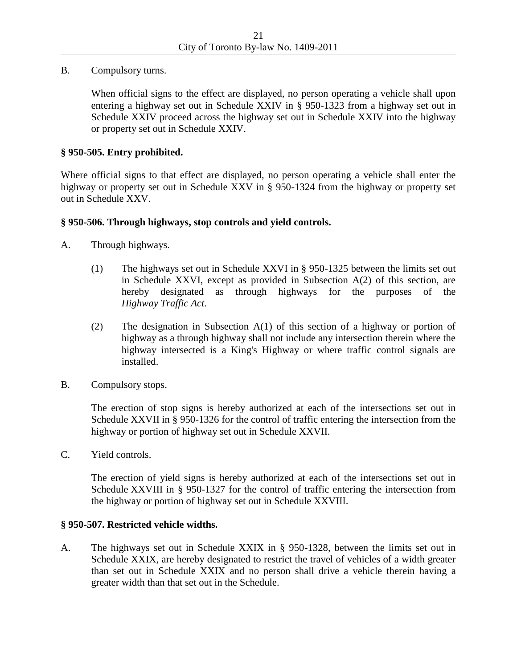B. Compulsory turns.

When official signs to the effect are displayed, no person operating a vehicle shall upon entering a highway set out in Schedule XXIV in § 950-1323 from a highway set out in Schedule XXIV proceed across the highway set out in Schedule XXIV into the highway or property set out in Schedule XXIV.

### **§ 950-505. Entry prohibited.**

Where official signs to that effect are displayed, no person operating a vehicle shall enter the highway or property set out in Schedule XXV in § 950-1324 from the highway or property set out in Schedule XXV.

#### **§ 950-506. Through highways, stop controls and yield controls.**

- A. Through highways.
	- (1) The highways set out in Schedule XXVI in § 950-1325 between the limits set out in Schedule XXVI, except as provided in Subsection A(2) of this section, are hereby designated as through highways for the purposes of the *Highway Traffic Act*.
	- (2) The designation in Subsection A(1) of this section of a highway or portion of highway as a through highway shall not include any intersection therein where the highway intersected is a King's Highway or where traffic control signals are installed.
- B. Compulsory stops.

The erection of stop signs is hereby authorized at each of the intersections set out in Schedule XXVII in § 950-1326 for the control of traffic entering the intersection from the highway or portion of highway set out in Schedule XXVII.

C. Yield controls.

The erection of yield signs is hereby authorized at each of the intersections set out in Schedule XXVIII in § 950-1327 for the control of traffic entering the intersection from the highway or portion of highway set out in Schedule XXVIII.

#### **§ 950-507. Restricted vehicle widths.**

A. The highways set out in Schedule XXIX in § 950-1328, between the limits set out in Schedule XXIX, are hereby designated to restrict the travel of vehicles of a width greater than set out in Schedule XXIX and no person shall drive a vehicle therein having a greater width than that set out in the Schedule.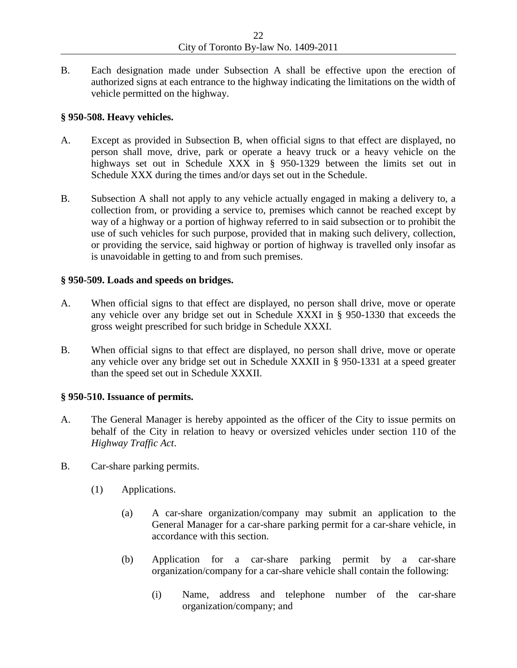B. Each designation made under Subsection A shall be effective upon the erection of authorized signs at each entrance to the highway indicating the limitations on the width of vehicle permitted on the highway.

### **§ 950-508. Heavy vehicles.**

- A. Except as provided in Subsection B, when official signs to that effect are displayed, no person shall move, drive, park or operate a heavy truck or a heavy vehicle on the highways set out in Schedule XXX in § 950-1329 between the limits set out in Schedule XXX during the times and/or days set out in the Schedule.
- B. Subsection A shall not apply to any vehicle actually engaged in making a delivery to, a collection from, or providing a service to, premises which cannot be reached except by way of a highway or a portion of highway referred to in said subsection or to prohibit the use of such vehicles for such purpose, provided that in making such delivery, collection, or providing the service, said highway or portion of highway is travelled only insofar as is unavoidable in getting to and from such premises.

### **§ 950-509. Loads and speeds on bridges.**

- A. When official signs to that effect are displayed, no person shall drive, move or operate any vehicle over any bridge set out in Schedule XXXI in § 950-1330 that exceeds the gross weight prescribed for such bridge in Schedule XXXI.
- B. When official signs to that effect are displayed, no person shall drive, move or operate any vehicle over any bridge set out in Schedule XXXII in § 950-1331 at a speed greater than the speed set out in Schedule XXXII.

## **§ 950-510. Issuance of permits.**

- A. The General Manager is hereby appointed as the officer of the City to issue permits on behalf of the City in relation to heavy or oversized vehicles under section 110 of the *Highway Traffic Act*.
- B. Car-share parking permits.
	- (1) Applications.
		- (a) A car-share organization/company may submit an application to the General Manager for a car-share parking permit for a car-share vehicle, in accordance with this section.
		- (b) Application for a car-share parking permit by a car-share organization/company for a car-share vehicle shall contain the following:
			- (i) Name, address and telephone number of the car-share organization/company; and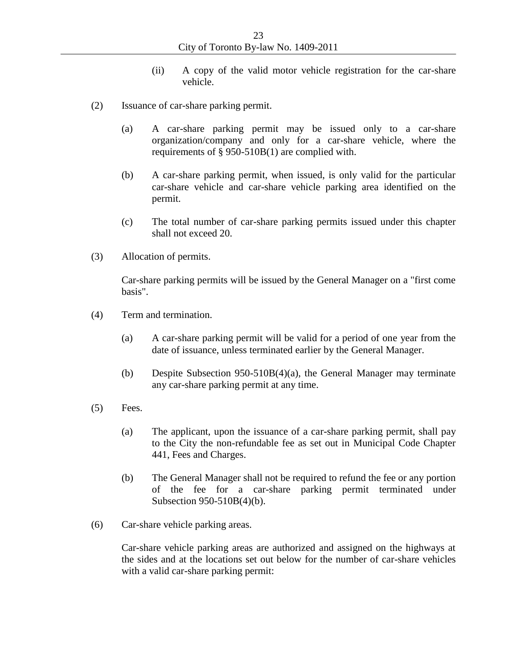- (ii) A copy of the valid motor vehicle registration for the car-share vehicle.
- (2) Issuance of car-share parking permit.
	- (a) A car-share parking permit may be issued only to a car-share organization/company and only for a car-share vehicle, where the requirements of § 950-510B(1) are complied with.
	- (b) A car-share parking permit, when issued, is only valid for the particular car-share vehicle and car-share vehicle parking area identified on the permit.
	- (c) The total number of car-share parking permits issued under this chapter shall not exceed 20.
- (3) Allocation of permits.

Car-share parking permits will be issued by the General Manager on a "first come basis".

- (4) Term and termination.
	- (a) A car-share parking permit will be valid for a period of one year from the date of issuance, unless terminated earlier by the General Manager.
	- (b) Despite Subsection 950-510B(4)(a), the General Manager may terminate any car-share parking permit at any time.
- (5) Fees.
	- (a) The applicant, upon the issuance of a car-share parking permit, shall pay to the City the non-refundable fee as set out in Municipal Code Chapter 441, Fees and Charges.
	- (b) The General Manager shall not be required to refund the fee or any portion of the fee for a car-share parking permit terminated under Subsection 950-510B(4)(b).
- (6) Car-share vehicle parking areas.

Car-share vehicle parking areas are authorized and assigned on the highways at the sides and at the locations set out below for the number of car-share vehicles with a valid car-share parking permit: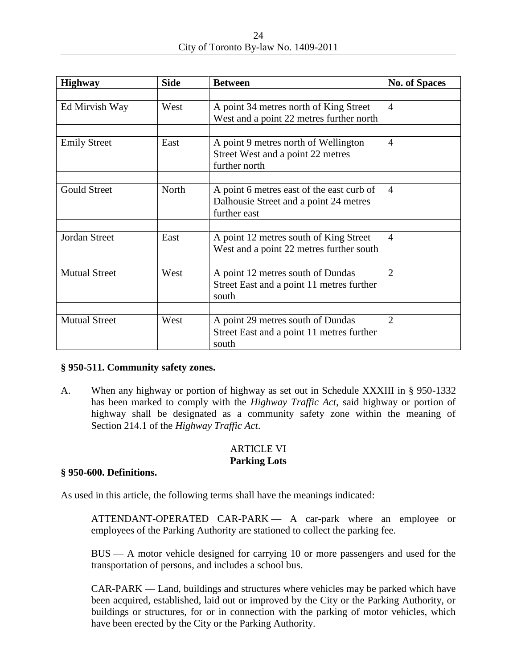| 24                                   |  |
|--------------------------------------|--|
| City of Toronto By-law No. 1409-2011 |  |

| <b>Highway</b>       | <b>Side</b> | <b>Between</b>                                                                                      | <b>No. of Spaces</b> |
|----------------------|-------------|-----------------------------------------------------------------------------------------------------|----------------------|
|                      |             |                                                                                                     |                      |
| Ed Mirvish Way       | West        | A point 34 metres north of King Street<br>West and a point 22 metres further north                  | $\overline{4}$       |
|                      |             |                                                                                                     |                      |
| <b>Emily Street</b>  | East        | A point 9 metres north of Wellington<br>Street West and a point 22 metres<br>further north          | $\overline{4}$       |
|                      |             |                                                                                                     |                      |
| <b>Gould Street</b>  | North       | A point 6 metres east of the east curb of<br>Dalhousie Street and a point 24 metres<br>further east | $\overline{4}$       |
|                      |             |                                                                                                     |                      |
| Jordan Street        | East        | A point 12 metres south of King Street<br>West and a point 22 metres further south                  | $\overline{4}$       |
|                      |             |                                                                                                     |                      |
| <b>Mutual Street</b> | West        | A point 12 metres south of Dundas<br>Street East and a point 11 metres further<br>south             | $\overline{2}$       |
|                      |             |                                                                                                     |                      |
| <b>Mutual Street</b> | West        | A point 29 metres south of Dundas<br>Street East and a point 11 metres further<br>south             | $\overline{2}$       |

## **§ 950-511. Community safety zones.**

A. When any highway or portion of highway as set out in Schedule XXXIII in § 950-1332 has been marked to comply with the *Highway Traffic Act*, said highway or portion of highway shall be designated as a community safety zone within the meaning of Section 214.1 of the *Highway Traffic Act*.

# ARTICLE VI **Parking Lots**

#### **§ 950-600. Definitions.**

As used in this article, the following terms shall have the meanings indicated:

ATTENDANT-OPERATED CAR-PARK — A car-park where an employee or employees of the Parking Authority are stationed to collect the parking fee.

BUS — A motor vehicle designed for carrying 10 or more passengers and used for the transportation of persons, and includes a school bus.

CAR-PARK — Land, buildings and structures where vehicles may be parked which have been acquired, established, laid out or improved by the City or the Parking Authority, or buildings or structures, for or in connection with the parking of motor vehicles, which have been erected by the City or the Parking Authority.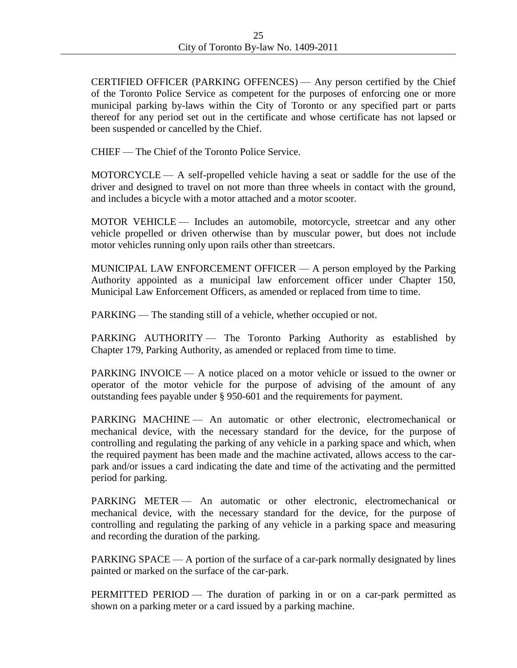CERTIFIED OFFICER (PARKING OFFENCES) — Any person certified by the Chief of the Toronto Police Service as competent for the purposes of enforcing one or more municipal parking by-laws within the City of Toronto or any specified part or parts thereof for any period set out in the certificate and whose certificate has not lapsed or been suspended or cancelled by the Chief.

CHIEF — The Chief of the Toronto Police Service.

MOTORCYCLE — A self-propelled vehicle having a seat or saddle for the use of the driver and designed to travel on not more than three wheels in contact with the ground, and includes a bicycle with a motor attached and a motor scooter.

MOTOR VEHICLE — Includes an automobile, motorcycle, streetcar and any other vehicle propelled or driven otherwise than by muscular power, but does not include motor vehicles running only upon rails other than streetcars.

MUNICIPAL LAW ENFORCEMENT OFFICER — A person employed by the Parking Authority appointed as a municipal law enforcement officer under Chapter 150, Municipal Law Enforcement Officers, as amended or replaced from time to time.

PARKING — The standing still of a vehicle, whether occupied or not.

PARKING AUTHORITY - The Toronto Parking Authority as established by Chapter 179, Parking Authority, as amended or replaced from time to time.

PARKING INVOICE — A notice placed on a motor vehicle or issued to the owner or operator of the motor vehicle for the purpose of advising of the amount of any outstanding fees payable under § 950-601 and the requirements for payment.

PARKING MACHINE — An automatic or other electronic, electromechanical or mechanical device, with the necessary standard for the device, for the purpose of controlling and regulating the parking of any vehicle in a parking space and which, when the required payment has been made and the machine activated, allows access to the carpark and/or issues a card indicating the date and time of the activating and the permitted period for parking.

PARKING METER — An automatic or other electronic, electromechanical or mechanical device, with the necessary standard for the device, for the purpose of controlling and regulating the parking of any vehicle in a parking space and measuring and recording the duration of the parking.

PARKING SPACE — A portion of the surface of a car-park normally designated by lines painted or marked on the surface of the car-park.

PERMITTED PERIOD — The duration of parking in or on a car-park permitted as shown on a parking meter or a card issued by a parking machine.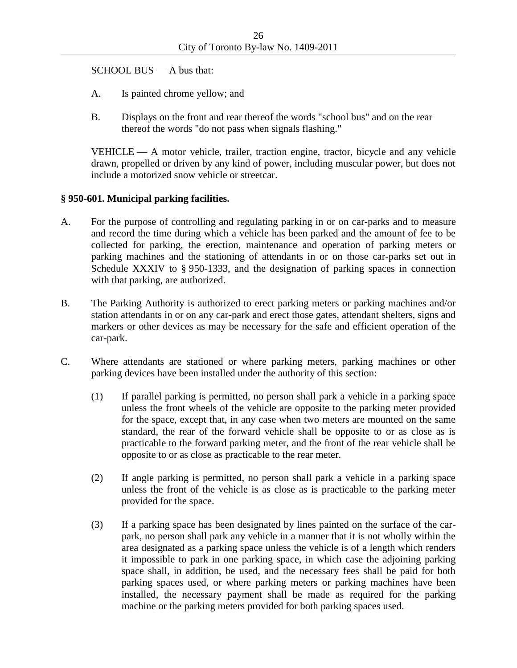SCHOOL BUS — A bus that:

- A. Is painted chrome yellow; and
- B. Displays on the front and rear thereof the words "school bus" and on the rear thereof the words "do not pass when signals flashing."

VEHICLE — A motor vehicle, trailer, traction engine, tractor, bicycle and any vehicle drawn, propelled or driven by any kind of power, including muscular power, but does not include a motorized snow vehicle or streetcar.

# **§ 950-601. Municipal parking facilities.**

- A. For the purpose of controlling and regulating parking in or on car-parks and to measure and record the time during which a vehicle has been parked and the amount of fee to be collected for parking, the erection, maintenance and operation of parking meters or parking machines and the stationing of attendants in or on those car-parks set out in Schedule XXXIV to § 950-1333, and the designation of parking spaces in connection with that parking, are authorized.
- B. The Parking Authority is authorized to erect parking meters or parking machines and/or station attendants in or on any car-park and erect those gates, attendant shelters, signs and markers or other devices as may be necessary for the safe and efficient operation of the car-park.
- C. Where attendants are stationed or where parking meters, parking machines or other parking devices have been installed under the authority of this section:
	- (1) If parallel parking is permitted, no person shall park a vehicle in a parking space unless the front wheels of the vehicle are opposite to the parking meter provided for the space, except that, in any case when two meters are mounted on the same standard, the rear of the forward vehicle shall be opposite to or as close as is practicable to the forward parking meter, and the front of the rear vehicle shall be opposite to or as close as practicable to the rear meter.
	- (2) If angle parking is permitted, no person shall park a vehicle in a parking space unless the front of the vehicle is as close as is practicable to the parking meter provided for the space.
	- (3) If a parking space has been designated by lines painted on the surface of the carpark, no person shall park any vehicle in a manner that it is not wholly within the area designated as a parking space unless the vehicle is of a length which renders it impossible to park in one parking space, in which case the adjoining parking space shall, in addition, be used, and the necessary fees shall be paid for both parking spaces used, or where parking meters or parking machines have been installed, the necessary payment shall be made as required for the parking machine or the parking meters provided for both parking spaces used.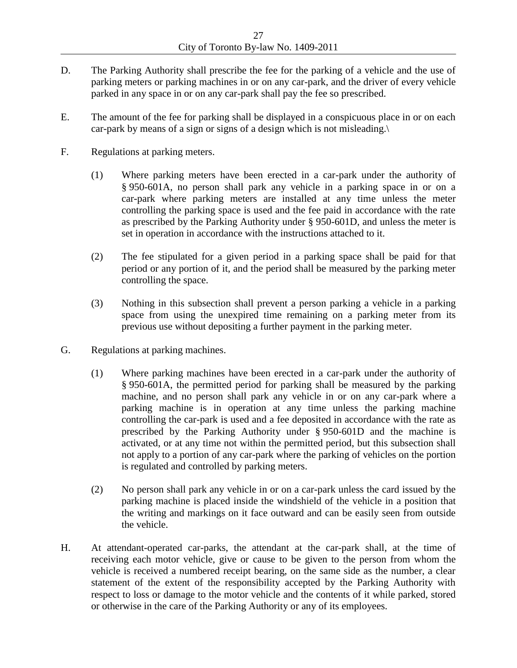- D. The Parking Authority shall prescribe the fee for the parking of a vehicle and the use of parking meters or parking machines in or on any car-park, and the driver of every vehicle parked in any space in or on any car-park shall pay the fee so prescribed.
- E. The amount of the fee for parking shall be displayed in a conspicuous place in or on each car-park by means of a sign or signs of a design which is not misleading.\
- F. Regulations at parking meters.
	- (1) Where parking meters have been erected in a car-park under the authority of § 950-601A, no person shall park any vehicle in a parking space in or on a car-park where parking meters are installed at any time unless the meter controlling the parking space is used and the fee paid in accordance with the rate as prescribed by the Parking Authority under § 950-601D, and unless the meter is set in operation in accordance with the instructions attached to it.
	- (2) The fee stipulated for a given period in a parking space shall be paid for that period or any portion of it, and the period shall be measured by the parking meter controlling the space.
	- (3) Nothing in this subsection shall prevent a person parking a vehicle in a parking space from using the unexpired time remaining on a parking meter from its previous use without depositing a further payment in the parking meter.
- G. Regulations at parking machines.
	- (1) Where parking machines have been erected in a car-park under the authority of § 950-601A, the permitted period for parking shall be measured by the parking machine, and no person shall park any vehicle in or on any car-park where a parking machine is in operation at any time unless the parking machine controlling the car-park is used and a fee deposited in accordance with the rate as prescribed by the Parking Authority under § 950-601D and the machine is activated, or at any time not within the permitted period, but this subsection shall not apply to a portion of any car-park where the parking of vehicles on the portion is regulated and controlled by parking meters.
	- (2) No person shall park any vehicle in or on a car-park unless the card issued by the parking machine is placed inside the windshield of the vehicle in a position that the writing and markings on it face outward and can be easily seen from outside the vehicle.
- H. At attendant-operated car-parks, the attendant at the car-park shall, at the time of receiving each motor vehicle, give or cause to be given to the person from whom the vehicle is received a numbered receipt bearing, on the same side as the number, a clear statement of the extent of the responsibility accepted by the Parking Authority with respect to loss or damage to the motor vehicle and the contents of it while parked, stored or otherwise in the care of the Parking Authority or any of its employees.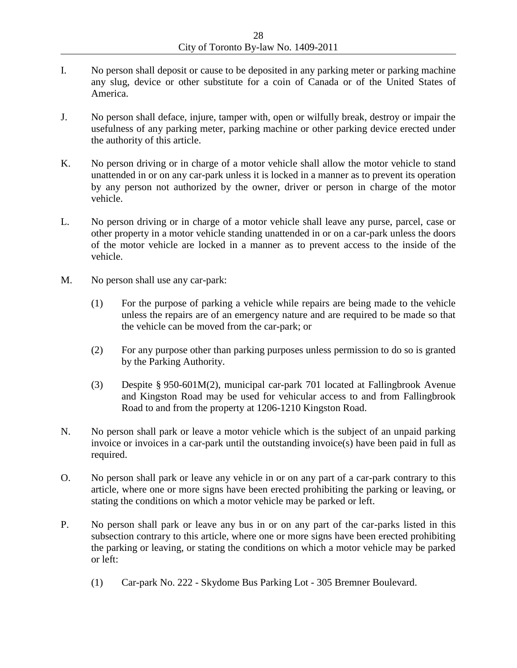- I. No person shall deposit or cause to be deposited in any parking meter or parking machine any slug, device or other substitute for a coin of Canada or of the United States of America.
- J. No person shall deface, injure, tamper with, open or wilfully break, destroy or impair the usefulness of any parking meter, parking machine or other parking device erected under the authority of this article.
- K. No person driving or in charge of a motor vehicle shall allow the motor vehicle to stand unattended in or on any car-park unless it is locked in a manner as to prevent its operation by any person not authorized by the owner, driver or person in charge of the motor vehicle.
- L. No person driving or in charge of a motor vehicle shall leave any purse, parcel, case or other property in a motor vehicle standing unattended in or on a car-park unless the doors of the motor vehicle are locked in a manner as to prevent access to the inside of the vehicle.
- M. No person shall use any car-park:
	- (1) For the purpose of parking a vehicle while repairs are being made to the vehicle unless the repairs are of an emergency nature and are required to be made so that the vehicle can be moved from the car-park; or
	- (2) For any purpose other than parking purposes unless permission to do so is granted by the Parking Authority.
	- (3) Despite § 950-601M(2), municipal car-park 701 located at Fallingbrook Avenue and Kingston Road may be used for vehicular access to and from Fallingbrook Road to and from the property at 1206-1210 Kingston Road.
- N. No person shall park or leave a motor vehicle which is the subject of an unpaid parking invoice or invoices in a car-park until the outstanding invoice(s) have been paid in full as required.
- O. No person shall park or leave any vehicle in or on any part of a car-park contrary to this article, where one or more signs have been erected prohibiting the parking or leaving, or stating the conditions on which a motor vehicle may be parked or left.
- P. No person shall park or leave any bus in or on any part of the car-parks listed in this subsection contrary to this article, where one or more signs have been erected prohibiting the parking or leaving, or stating the conditions on which a motor vehicle may be parked or left:
	- (1) Car-park No. 222 Skydome Bus Parking Lot 305 Bremner Boulevard.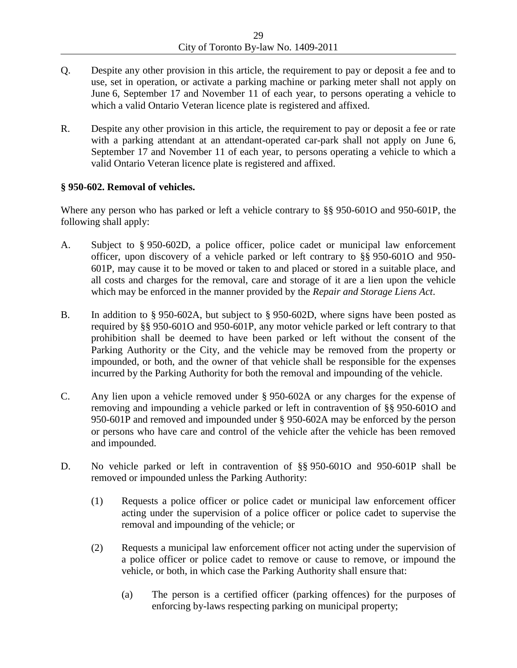- Q. Despite any other provision in this article, the requirement to pay or deposit a fee and to use, set in operation, or activate a parking machine or parking meter shall not apply on June 6, September 17 and November 11 of each year, to persons operating a vehicle to which a valid Ontario Veteran licence plate is registered and affixed.
- R. Despite any other provision in this article, the requirement to pay or deposit a fee or rate with a parking attendant at an attendant-operated car-park shall not apply on June 6, September 17 and November 11 of each year, to persons operating a vehicle to which a valid Ontario Veteran licence plate is registered and affixed.

## **§ 950-602. Removal of vehicles.**

Where any person who has parked or left a vehicle contrary to §§ 950-601O and 950-601P, the following shall apply:

- A. Subject to § 950-602D, a police officer, police cadet or municipal law enforcement officer, upon discovery of a vehicle parked or left contrary to §§ 950-601O and 950- 601P, may cause it to be moved or taken to and placed or stored in a suitable place, and all costs and charges for the removal, care and storage of it are a lien upon the vehicle which may be enforced in the manner provided by the *Repair and Storage Liens Act*.
- B. In addition to § 950-602A, but subject to § 950-602D, where signs have been posted as required by §§ 950-601O and 950-601P, any motor vehicle parked or left contrary to that prohibition shall be deemed to have been parked or left without the consent of the Parking Authority or the City, and the vehicle may be removed from the property or impounded, or both, and the owner of that vehicle shall be responsible for the expenses incurred by the Parking Authority for both the removal and impounding of the vehicle.
- C. Any lien upon a vehicle removed under § 950-602A or any charges for the expense of removing and impounding a vehicle parked or left in contravention of §§ 950-601O and 950-601P and removed and impounded under § 950-602A may be enforced by the person or persons who have care and control of the vehicle after the vehicle has been removed and impounded.
- D. No vehicle parked or left in contravention of §§ 950-601O and 950-601P shall be removed or impounded unless the Parking Authority:
	- (1) Requests a police officer or police cadet or municipal law enforcement officer acting under the supervision of a police officer or police cadet to supervise the removal and impounding of the vehicle; or
	- (2) Requests a municipal law enforcement officer not acting under the supervision of a police officer or police cadet to remove or cause to remove, or impound the vehicle, or both, in which case the Parking Authority shall ensure that:
		- (a) The person is a certified officer (parking offences) for the purposes of enforcing by-laws respecting parking on municipal property;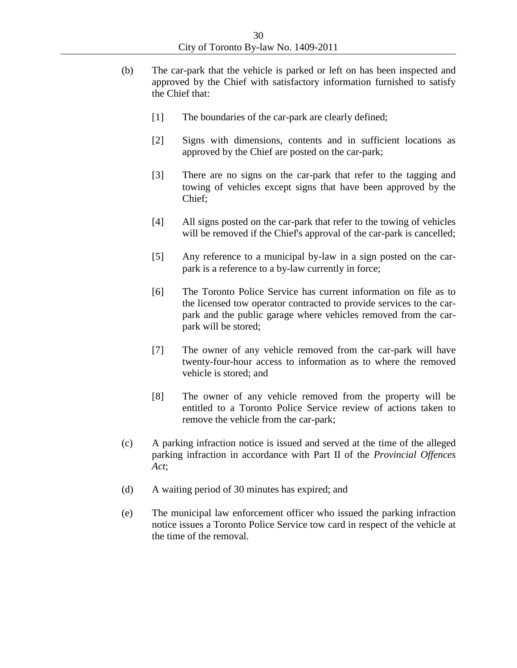- (b) The car-park that the vehicle is parked or left on has been inspected and approved by the Chief with satisfactory information furnished to satisfy the Chief that:
	- [1] The boundaries of the car-park are clearly defined;
	- [2] Signs with dimensions, contents and in sufficient locations as approved by the Chief are posted on the car-park;
	- [3] There are no signs on the car-park that refer to the tagging and towing of vehicles except signs that have been approved by the Chief;
	- [4] All signs posted on the car-park that refer to the towing of vehicles will be removed if the Chief's approval of the car-park is cancelled;
	- [5] Any reference to a municipal by-law in a sign posted on the carpark is a reference to a by-law currently in force;
	- [6] The Toronto Police Service has current information on file as to the licensed tow operator contracted to provide services to the carpark and the public garage where vehicles removed from the carpark will be stored;
	- [7] The owner of any vehicle removed from the car-park will have twenty-four-hour access to information as to where the removed vehicle is stored; and
	- [8] The owner of any vehicle removed from the property will be entitled to a Toronto Police Service review of actions taken to remove the vehicle from the car-park;
- (c) A parking infraction notice is issued and served at the time of the alleged parking infraction in accordance with Part II of the *Provincial Offences Act*;
- (d) A waiting period of 30 minutes has expired; and
- (e) The municipal law enforcement officer who issued the parking infraction notice issues a Toronto Police Service tow card in respect of the vehicle at the time of the removal.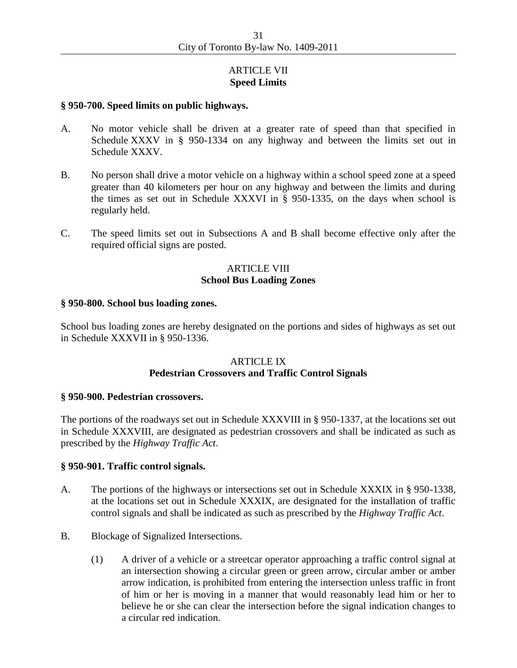# ARTICLE VII **Speed Limits**

#### **§ 950-700. Speed limits on public highways.**

- A. No motor vehicle shall be driven at a greater rate of speed than that specified in Schedule XXXV in § 950-1334 on any highway and between the limits set out in Schedule XXXV.
- B. No person shall drive a motor vehicle on a highway within a school speed zone at a speed greater than 40 kilometers per hour on any highway and between the limits and during the times as set out in Schedule XXXVI in § 950-1335, on the days when school is regularly held.
- C. The speed limits set out in Subsections A and B shall become effective only after the required official signs are posted.

## ARTICLE VIII **School Bus Loading Zones**

#### **§ 950-800. School bus loading zones.**

School bus loading zones are hereby designated on the portions and sides of highways as set out in Schedule XXXVII in § 950-1336.

# ARTICLE IX **Pedestrian Crossovers and Traffic Control Signals**

#### **§ 950-900. Pedestrian crossovers.**

The portions of the roadways set out in Schedule XXXVIII in § 950-1337, at the locations set out in Schedule XXXVIII, are designated as pedestrian crossovers and shall be indicated as such as prescribed by the *Highway Traffic Act*.

#### **§ 950-901. Traffic control signals.**

- A. The portions of the highways or intersections set out in Schedule XXXIX in § 950-1338, at the locations set out in Schedule XXXIX, are designated for the installation of traffic control signals and shall be indicated as such as prescribed by the *Highway Traffic Act*.
- B. Blockage of Signalized Intersections.
	- (1) A driver of a vehicle or a streetcar operator approaching a traffic control signal at an intersection showing a circular green or green arrow, circular amber or amber arrow indication, is prohibited from entering the intersection unless traffic in front of him or her is moving in a manner that would reasonably lead him or her to believe he or she can clear the intersection before the signal indication changes to a circular red indication.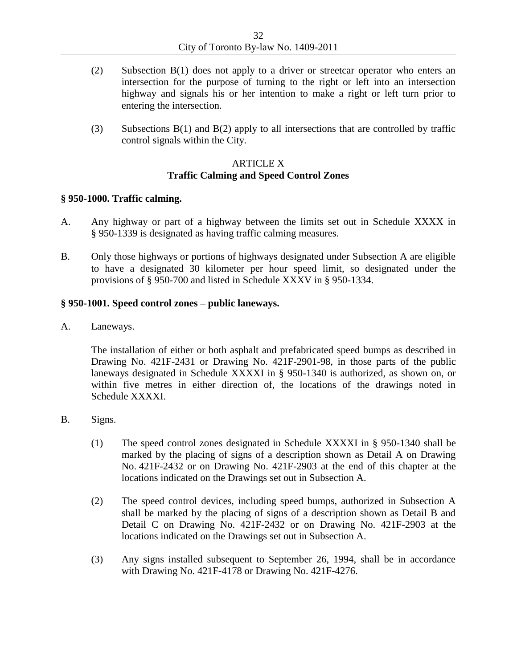- (2) Subsection B(1) does not apply to a driver or streetcar operator who enters an intersection for the purpose of turning to the right or left into an intersection highway and signals his or her intention to make a right or left turn prior to entering the intersection.
- (3) Subsections B(1) and B(2) apply to all intersections that are controlled by traffic control signals within the City.

# ARTICLE X **Traffic Calming and Speed Control Zones**

### **§ 950-1000. Traffic calming.**

- A. Any highway or part of a highway between the limits set out in Schedule XXXX in § 950-1339 is designated as having traffic calming measures.
- B. Only those highways or portions of highways designated under Subsection A are eligible to have a designated 30 kilometer per hour speed limit, so designated under the provisions of § 950-700 and listed in Schedule XXXV in § 950-1334.

## **§ 950-1001. Speed control zones – public laneways.**

A. Laneways.

The installation of either or both asphalt and prefabricated speed bumps as described in Drawing No. 421F-2431 or Drawing No. 421F-2901-98, in those parts of the public laneways designated in Schedule XXXXI in § 950-1340 is authorized, as shown on, or within five metres in either direction of, the locations of the drawings noted in Schedule XXXXI.

- B. Signs.
	- (1) The speed control zones designated in Schedule XXXXI in § 950-1340 shall be marked by the placing of signs of a description shown as Detail A on Drawing No. 421F-2432 or on Drawing No. 421F-2903 at the end of this chapter at the locations indicated on the Drawings set out in Subsection A.
	- (2) The speed control devices, including speed bumps, authorized in Subsection A shall be marked by the placing of signs of a description shown as Detail B and Detail C on Drawing No. 421F-2432 or on Drawing No. 421F-2903 at the locations indicated on the Drawings set out in Subsection A.
	- (3) Any signs installed subsequent to September 26, 1994, shall be in accordance with Drawing No. 421F-4178 or Drawing No. 421F-4276.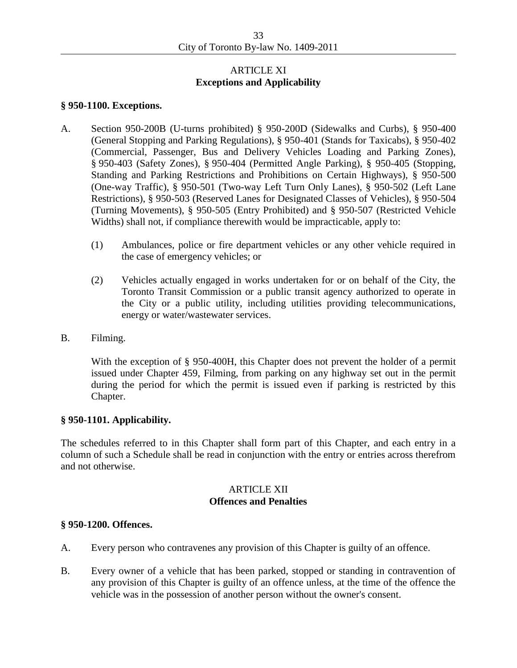# ARTICLE XI **Exceptions and Applicability**

#### **§ 950-1100. Exceptions.**

- A. Section 950-200B (U-turns prohibited) § 950-200D (Sidewalks and Curbs), § 950-400 (General Stopping and Parking Regulations), § 950-401 (Stands for Taxicabs), § 950-402 (Commercial, Passenger, Bus and Delivery Vehicles Loading and Parking Zones), § 950-403 (Safety Zones), § 950-404 (Permitted Angle Parking), § 950-405 (Stopping, Standing and Parking Restrictions and Prohibitions on Certain Highways), § 950-500 (One-way Traffic), § 950-501 (Two-way Left Turn Only Lanes), § 950-502 (Left Lane Restrictions), § 950-503 (Reserved Lanes for Designated Classes of Vehicles), § 950-504 (Turning Movements), § 950-505 (Entry Prohibited) and § 950-507 (Restricted Vehicle Widths) shall not, if compliance therewith would be impracticable, apply to:
	- (1) Ambulances, police or fire department vehicles or any other vehicle required in the case of emergency vehicles; or
	- (2) Vehicles actually engaged in works undertaken for or on behalf of the City, the Toronto Transit Commission or a public transit agency authorized to operate in the City or a public utility, including utilities providing telecommunications, energy or water/wastewater services.
- B. Filming.

With the exception of § 950-400H, this Chapter does not prevent the holder of a permit issued under Chapter 459, Filming, from parking on any highway set out in the permit during the period for which the permit is issued even if parking is restricted by this Chapter.

#### **§ 950-1101. Applicability.**

The schedules referred to in this Chapter shall form part of this Chapter, and each entry in a column of such a Schedule shall be read in conjunction with the entry or entries across therefrom and not otherwise.

# ARTICLE XII **Offences and Penalties**

#### **§ 950-1200. Offences.**

- A. Every person who contravenes any provision of this Chapter is guilty of an offence.
- B. Every owner of a vehicle that has been parked, stopped or standing in contravention of any provision of this Chapter is guilty of an offence unless, at the time of the offence the vehicle was in the possession of another person without the owner's consent.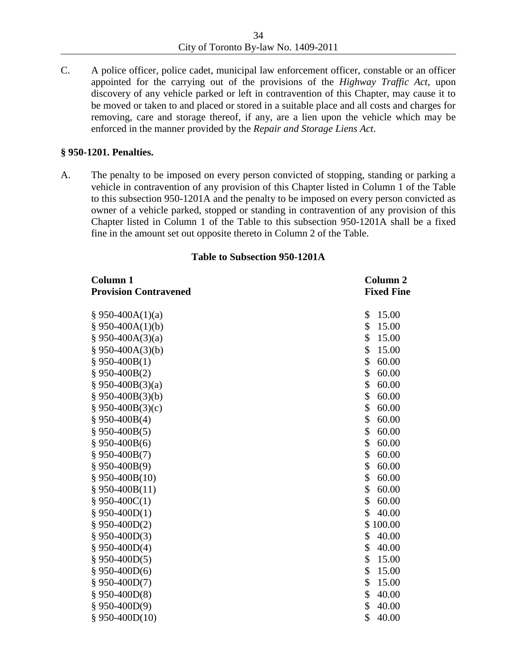C. A police officer, police cadet, municipal law enforcement officer, constable or an officer appointed for the carrying out of the provisions of the *Highway Traffic Act*, upon discovery of any vehicle parked or left in contravention of this Chapter, may cause it to be moved or taken to and placed or stored in a suitable place and all costs and charges for removing, care and storage thereof, if any, are a lien upon the vehicle which may be enforced in the manner provided by the *Repair and Storage Liens Act*.

### **§ 950-1201. Penalties.**

A. The penalty to be imposed on every person convicted of stopping, standing or parking a vehicle in contravention of any provision of this Chapter listed in Column 1 of the Table to this subsection 950-1201A and the penalty to be imposed on every person convicted as owner of a vehicle parked, stopped or standing in contravention of any provision of this Chapter listed in Column 1 of the Table to this subsection 950-1201A shall be a fixed fine in the amount set out opposite thereto in Column 2 of the Table.

| <b>Column 1</b>              | Column <sub>2</sub> |
|------------------------------|---------------------|
| <b>Provision Contravened</b> | <b>Fixed Fine</b>   |
| $§$ 950-400A(1)(a)           | \$<br>15.00         |
| § 950-400A(1)(b)             | \$<br>15.00         |
| § 950-400A $(3)(a)$          | \$<br>15.00         |
| § 950-400A(3)(b)             | \$<br>15.00         |
| § 950-400B(1)                | \$<br>60.00         |
| $$950-400B(2)$               | \$<br>60.00         |
| $§$ 950-400B(3)(a)           | \$<br>60.00         |
| § 950-400B(3)(b)             | \$<br>60.00         |
| § 950-400B $(3)(c)$          | \$<br>60.00         |
| § 950-400B(4)                | \$<br>60.00         |
| § 950-400B $(5)$             | \$<br>60.00         |
| § 950-400B(6)                | \$<br>60.00         |
| $$950-400B(7)$               | \$<br>60.00         |
| $§$ 950-400B(9)              | \$<br>60.00         |
| § 950-400B $(10)$            | \$<br>60.00         |
| § 950-400B $(11)$            | \$<br>60.00         |
| § 950-400 $C(1)$             | \$<br>60.00         |
| § 950-400D(1)                | \$<br>40.00         |
| § 950-400D(2)                | \$100.00            |
| $§$ 950-400D(3)              | \$<br>40.00         |
| § 950-400D(4)                | \$<br>40.00         |
| § 950-400 $D(5)$             | \$<br>15.00         |
| § 950-400 $D(6)$             | \$<br>15.00         |
| § 950-400D(7)                | \$<br>15.00         |
| $$950-400D(8)$               | \$<br>40.00         |
| § 950-400D(9)                | \$<br>40.00         |
| § 950-400D(10)               | \$<br>40.00         |

#### **Table to Subsection 950-1201A**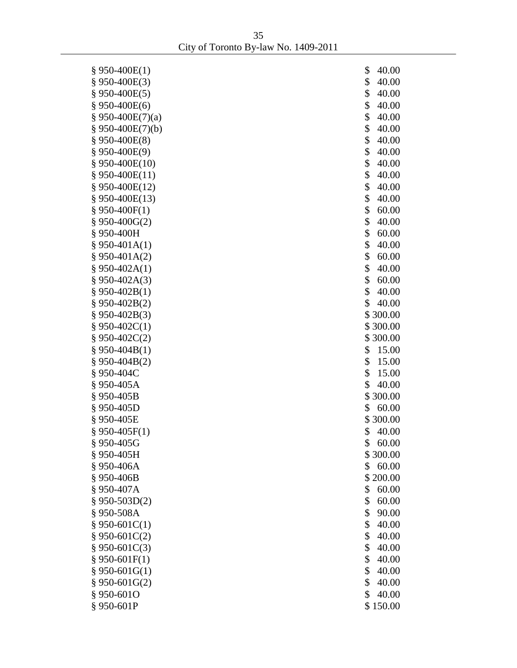35 City of Toronto By-law No. 1409-2011

| $§$ 950-400E(1)                  | \$       | 40.00             |
|----------------------------------|----------|-------------------|
| $$950-400E(3)$                   | \$       | 40.00             |
| $§$ 950-400E(5)                  | \$       | 40.00             |
| $$950-400E(6)$                   | \$       | 40.00             |
| § 950-400E $(7)(a)$              | \$       | 40.00             |
| $§$ 950-400E(7)(b)               | \$       | 40.00             |
| $$950-400E(8)$                   | \$       | 40.00             |
| § 950-400E(9)                    | \$       | 40.00             |
| § 950-400E(10)                   | \$       | 40.00             |
| § 950-400E(11)                   | \$       | 40.00             |
| § 950-400E(12)                   | \$       | 40.00             |
| § 950-400E(13)                   | \$       | 40.00             |
| § 950-400 $F(1)$                 | \$       | 60.00             |
| § 950-400G(2)                    | \$       | 40.00             |
| § 950-400H                       | \$       | 60.00             |
| $§$ 950-401A(1)                  | \$       | 40.00             |
| § 950-401A(2)                    | \$       | 60.00             |
| § 950-402A(1)                    | \$       | 40.00             |
| § 950-402A(3)                    | \$       | 60.00             |
| § 950-402B(1)                    | \$<br>\$ | 40.00             |
| § 950-402B(2)<br>$§$ 950-402B(3) |          | 40.00<br>\$300.00 |
| § 950-402 $C(1)$                 |          | \$300.00          |
| § 950-402C(2)                    |          | \$300.00          |
| § 950-404B(1)                    | \$       | 15.00             |
| $§$ 950-404B(2)                  | \$       | 15.00             |
| § 950-404C                       | \$       | 15.00             |
| §950-405A                        | \$       | 40.00             |
| § 950-405B                       |          | \$300.00          |
| § 950-405D                       | \$       | 60.00             |
| § 950-405E                       |          | \$300.00          |
| § 950-405 $F(1)$                 | \$       | 40.00             |
| § 950-405G                       | \$       | 60.00             |
| § 950-405H                       |          | \$300.00          |
| §950-406A                        | \$       | 60.00             |
| § 950-406B                       |          | \$200.00          |
| §950-407A                        | \$       | 60.00             |
| $§$ 950-503D(2)                  | \$       | 60.00             |
| §950-508A                        | \$       | 90.00             |
| § 950-601 $C(1)$                 | \$       | 40.00             |
| § 950-601C(2)                    | \$       | 40.00             |
| $§$ 950-601C(3)                  | \$       | 40.00             |
| $$950-601F(1)$                   | \$       | 40.00             |
| § 950-601G(1)                    | \$       | 40.00             |
| $§$ 950-601G(2)                  | \$       | 40.00             |
| § 950-601O                       | \$       | 40.00             |
| § 950-601P                       |          | \$150.00          |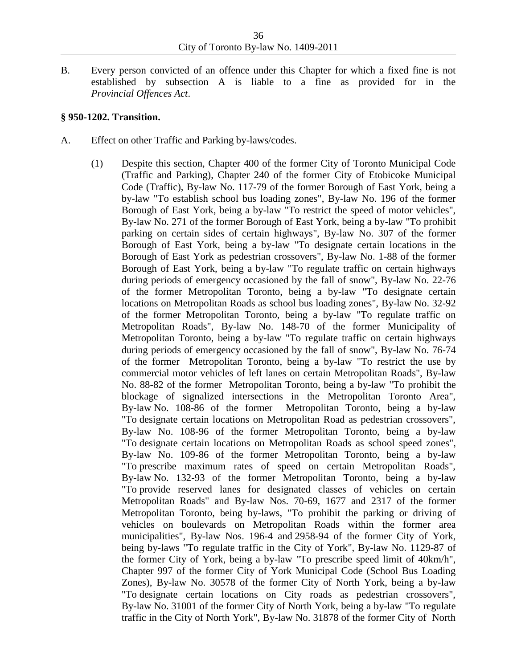B. Every person convicted of an offence under this Chapter for which a fixed fine is not established by subsection A is liable to a fine as provided for in the *Provincial Offences Act*.

#### **§ 950-1202. Transition.**

- A. Effect on other Traffic and Parking by-laws/codes.
	- (1) Despite this section, Chapter 400 of the former City of Toronto Municipal Code (Traffic and Parking), Chapter 240 of the former City of Etobicoke Municipal Code (Traffic), By-law No. 117-79 of the former Borough of East York, being a by-law "To establish school bus loading zones", By-law No. 196 of the former Borough of East York, being a by-law "To restrict the speed of motor vehicles", By-law No. 271 of the former Borough of East York, being a by-law "To prohibit parking on certain sides of certain highways", By-law No. 307 of the former Borough of East York, being a by-law "To designate certain locations in the Borough of East York as pedestrian crossovers", By-law No. 1-88 of the former Borough of East York, being a by-law "To regulate traffic on certain highways during periods of emergency occasioned by the fall of snow", By-law No. 22-76 of the former Metropolitan Toronto, being a by-law "To designate certain locations on Metropolitan Roads as school bus loading zones", By-law No. 32-92 of the former Metropolitan Toronto, being a by-law "To regulate traffic on Metropolitan Roads", By-law No. 148-70 of the former Municipality of Metropolitan Toronto, being a by-law "To regulate traffic on certain highways during periods of emergency occasioned by the fall of snow", By-law No. 76-74 of the former Metropolitan Toronto, being a by-law "To restrict the use by commercial motor vehicles of left lanes on certain Metropolitan Roads", By-law No. 88-82 of the former Metropolitan Toronto, being a by-law "To prohibit the blockage of signalized intersections in the Metropolitan Toronto Area", By-law No. 108-86 of the former Metropolitan Toronto, being a by-law "To designate certain locations on Metropolitan Road as pedestrian crossovers", By-law No. 108-96 of the former Metropolitan Toronto, being a by-law "To designate certain locations on Metropolitan Roads as school speed zones", By-law No. 109-86 of the former Metropolitan Toronto, being a by-law "To prescribe maximum rates of speed on certain Metropolitan Roads", By-law No. 132-93 of the former Metropolitan Toronto, being a by-law "To provide reserved lanes for designated classes of vehicles on certain Metropolitan Roads" and By-law Nos. 70-69, 1677 and 2317 of the former Metropolitan Toronto, being by-laws, "To prohibit the parking or driving of vehicles on boulevards on Metropolitan Roads within the former area municipalities", By-law Nos. 196-4 and 2958-94 of the former City of York, being by-laws "To regulate traffic in the City of York", By-law No. 1129-87 of the former City of York, being a by-law "To prescribe speed limit of 40km/h", Chapter 997 of the former City of York Municipal Code (School Bus Loading Zones), By-law No. 30578 of the former City of North York, being a by-law "To designate certain locations on City roads as pedestrian crossovers", By-law No. 31001 of the former City of North York, being a by-law "To regulate traffic in the City of North York", By-law No. 31878 of the former City of North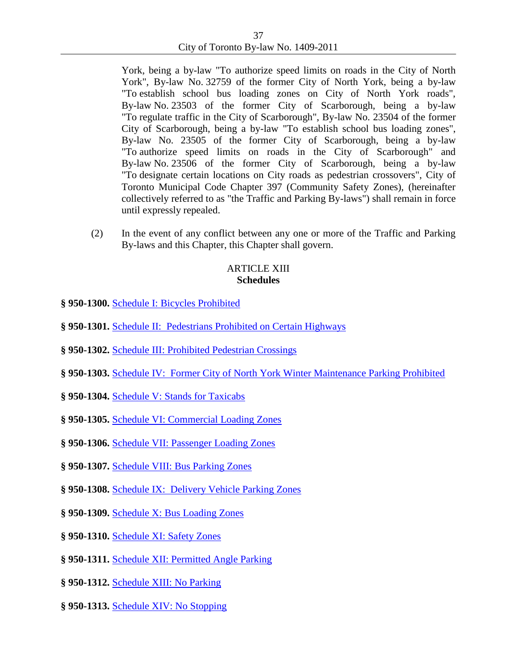York, being a by-law "To authorize speed limits on roads in the City of North York", By-law No. 32759 of the former City of North York, being a by-law "To establish school bus loading zones on City of North York roads", By-law No. 23503 of the former City of Scarborough, being a by-law "To regulate traffic in the City of Scarborough", By-law No. 23504 of the former City of Scarborough, being a by-law "To establish school bus loading zones", By-law No. 23505 of the former City of Scarborough, being a by-law "To authorize speed limits on roads in the City of Scarborough" and By-law No. 23506 of the former City of Scarborough, being a by-law "To designate certain locations on City roads as pedestrian crossovers", City of Toronto Municipal Code Chapter 397 (Community Safety Zones), (hereinafter collectively referred to as "the Traffic and Parking By-laws") shall remain in force until expressly repealed.

(2) In the event of any conflict between any one or more of the Traffic and Parking By-laws and this Chapter, this Chapter shall govern.

### ARTICLE XIII **Schedules**

- **§ 950-1300.** [Schedule I: Bicycles Prohibited](http://www.toronto.ca/legdocs/bylaws/2011/Schedule-01.pdf)
- **§ 950-1301.** [Schedule II: Pedestrians Prohibited on Certain Highways](http://www.toronto.ca/legdocs/bylaws/2011/Schedule-02.pdf)
- **§ 950-1302.** [Schedule III: Prohibited Pedestrian Crossings](http://www.toronto.ca/legdocs/bylaws/2011/Schedule-03.pdf)
- **§ 950-1303.** [Schedule IV: Former City of North York Winter Maintenance Parking Prohibited](http://www.toronto.ca/legdocs/bylaws/2011/Schedule-04.pdf)
- **§ 950-1304.** [Schedule V: Stands for Taxicabs](http://www.toronto.ca/legdocs/bylaws/2011/Schedule-05.pdf)
- **§ 950-1305.** [Schedule VI: Commercial Loading Zones](http://www.toronto.ca/legdocs/bylaws/2011/Schedule-06.pdf)
- **§ 950-1306.** [Schedule VII: Passenger Loading Zones](http://www.toronto.ca/legdocs/bylaws/2011/Schedule-07.pdf)
- **§ 950-1307.** [Schedule VIII: Bus Parking Zones](http://www.toronto.ca/legdocs/bylaws/2011/Schedule-08.pdf)
- **§ 950-1308.** [Schedule IX: Delivery Vehicle Parking Zones](http://www.toronto.ca/legdocs/bylaws/2011/Schedule-09.pdf)
- **§ 950-1309.** [Schedule X: Bus Loading Zones](http://www.toronto.ca/legdocs/bylaws/2011/Schedule-10.pdf)
- **§ 950-1310.** [Schedule XI: Safety Zones](http://www.toronto.ca/legdocs/bylaws/2011/Schedule-11.pdf)
- **§ 950-1311.** [Schedule XII: Permitted Angle Parking](http://www.toronto.ca/legdocs/bylaws/2011/Schedule-12.pdf)
- **§ 950-1312.** [Schedule XIII: No Parking](http://www.toronto.ca/legdocs/bylaws/2011/Schedule-13.pdf)
- **§ 950-1313.** [Schedule XIV: No Stopping](http://www.toronto.ca/legdocs/bylaws/2011/Schedule-14.pdf)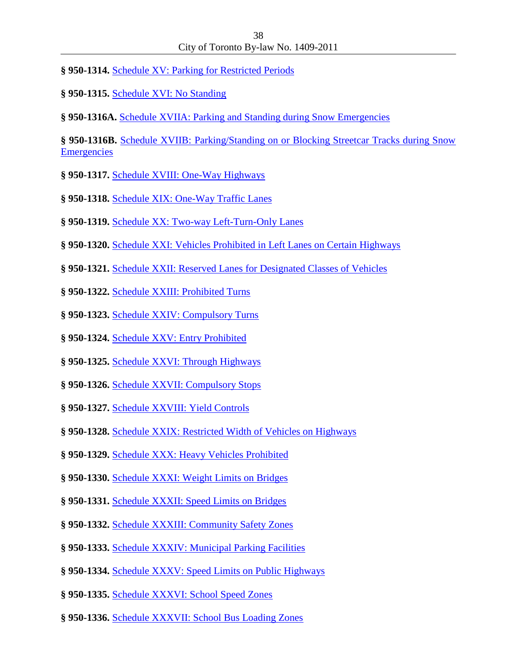- **§ 950-1314.** [Schedule XV: Parking](http://www.toronto.ca/legdocs/bylaws/2011/Schedule-15.pdf) for Restricted Periods
- **§ 950-1315.** [Schedule XVI: No Standing](http://www.toronto.ca/legdocs/bylaws/2011/Schedule-16.pdf)

**§ 950-1316A.** [Schedule XVIIA: Parking and Standing during Snow Emergencies](http://www.toronto.ca/legdocs/bylaws/2011/Schedule-17A.pdf)

**§ 950-1316B.** [Schedule XVIIB: Parking/Standing on or Blocking Streetcar Tracks during Snow](http://www.toronto.ca/legdocs/bylaws/2011/Schedule-17B.pdf)  **[Emergencies](http://www.toronto.ca/legdocs/bylaws/2011/Schedule-17B.pdf)** 

- **§ 950-1317.** [Schedule XVIII: One-Way Highways](http://www.toronto.ca/legdocs/bylaws/2011/Schedule-18.pdf)
- **§ 950-1318.** [Schedule XIX: One-Way Traffic Lanes](http://www.toronto.ca/legdocs/bylaws/2011/Schedule-19.pdf)
- **§ 950-1319.** [Schedule XX: Two-way Left-Turn-Only Lanes](http://www.toronto.ca/legdocs/bylaws/2011/Schedule-20.pdf)
- **§ 950-1320.** [Schedule XXI: Vehicles Prohibited in Left Lanes on Certain Highways](http://www.toronto.ca/legdocs/bylaws/2011/Schedule-21.pdf)
- **§ 950-1321.** [Schedule XXII: Reserved Lanes for Designated Classes of Vehicles](http://www.toronto.ca/legdocs/bylaws/2011/Schedule-22.pdf)
- **§ 950-1322.** [Schedule XXIII: Prohibited Turns](http://www.toronto.ca/legdocs/bylaws/2011/Schedule-23.pdf)
- **§ 950-1323.** [Schedule XXIV: Compulsory Turns](http://www.toronto.ca/legdocs/bylaws/2011/Schedule-24.pdf)
- **§ 950-1324.** [Schedule XXV: Entry Prohibited](http://www.toronto.ca/legdocs/bylaws/2011/Schedule-25.pdf)
- **§ 950-1325.** [Schedule XXVI: Through Highways](http://www.toronto.ca/legdocs/bylaws/2011/Schedule-26.pdf)
- **§ 950-1326.** [Schedule XXVII: Compulsory Stops](http://www.toronto.ca/legdocs/bylaws/2011/Schedule-27.pdf)
- **§ 950-1327.** [Schedule XXVIII: Yield Controls](http://www.toronto.ca/legdocs/bylaws/2011/Schedule-28.pdf)
- **§ 950-1328.** [Schedule XXIX: Restricted Width of Vehicles on Highways](http://www.toronto.ca/legdocs/bylaws/2011/Schedule-29.pdf)
- **§ 950-1329.** [Schedule XXX: Heavy Vehicles Prohibited](http://www.toronto.ca/legdocs/bylaws/2011/Schedule-30.pdf)
- **§ 950-1330.** [Schedule XXXI: Weight Limits on Bridges](http://www.toronto.ca/legdocs/bylaws/2011/Schedule-31.pdf)
- **§ 950-1331.** [Schedule XXXII: Speed Limits on Bridges](http://www.toronto.ca/legdocs/bylaws/2011/Schedule-32.pdf)
- **§ 950-1332.** [Schedule XXXIII: Community Safety Zones](http://www.toronto.ca/legdocs/bylaws/2011/Schedule-33.pdf)
- **§ 950-1333.** [Schedule XXXIV: Municipal Parking Facilities](http://www.toronto.ca/legdocs/bylaws/2011/Schedule-34.pdf)
- **§ 950-1334.** [Schedule XXXV: Speed Limits on Public Highways](http://www.toronto.ca/legdocs/bylaws/2011/Schedule-35.pdf)
- **§ 950-1335.** [Schedule XXXVI: School Speed Zones](http://www.toronto.ca/legdocs/bylaws/2011/Schedule-36.pdf)
- **§ 950-1336.** [Schedule XXXVII: School Bus Loading Zones](http://www.toronto.ca/legdocs/bylaws/2011/Schedule-37.pdf)